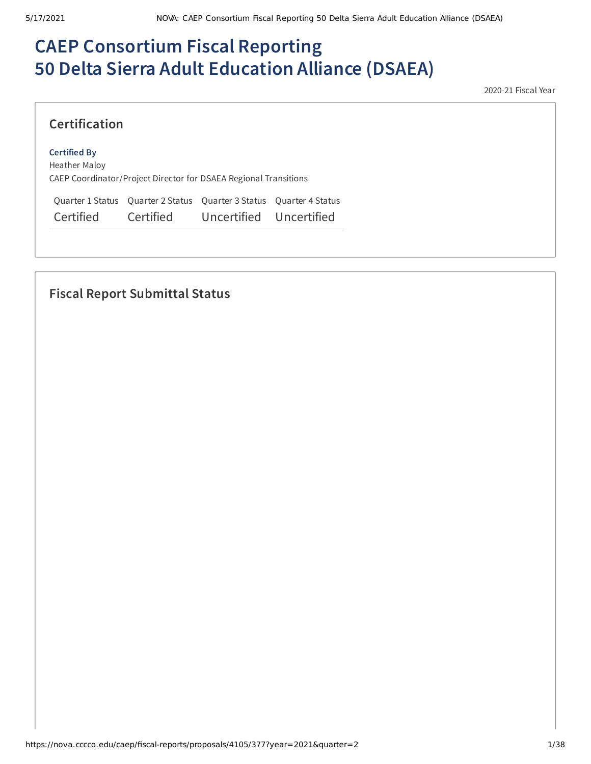# **CAEP Consortium Fiscal Reporting 50 Delta Sierra Adult Education Alliance (DSAEA)**

2020-21 Fiscal Year

### **Certification**

#### **Certified By**

Heather Maloy CAEP Coordinator/Project Director for DSAEA Regional Transitions

Quarter 1 Status Quarter 2 Status Quarter 3 Status Quarter 4 Status Certified Certified Uncertified Uncertified

## **Fiscal Report Submittal Status**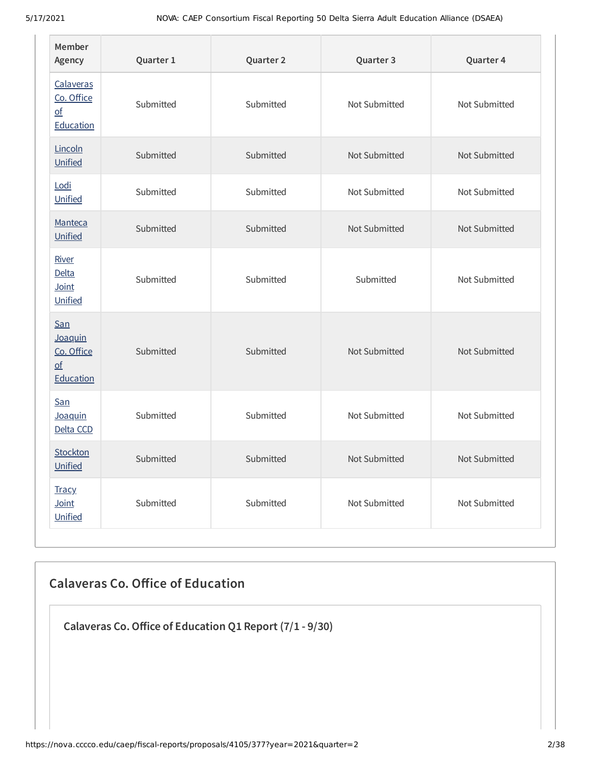| Member<br>Agency                                                       | Quarter 1 | Quarter 2 | Quarter 3     | Quarter 4     |
|------------------------------------------------------------------------|-----------|-----------|---------------|---------------|
| Calaveras<br>Co. Office<br>$\underline{\mathsf{of}}$<br>Education      | Submitted | Submitted | Not Submitted | Not Submitted |
| Lincoln<br>Unified                                                     | Submitted | Submitted | Not Submitted | Not Submitted |
| Lodi<br>Unified                                                        | Submitted | Submitted | Not Submitted | Not Submitted |
| Manteca<br>Unified                                                     | Submitted | Submitted | Not Submitted | Not Submitted |
| River<br><b>Delta</b><br>Joint<br>Unified                              | Submitted | Submitted | Submitted     | Not Submitted |
| San<br>Joaquin<br>Co. Office<br>$\underline{\mathsf{of}}$<br>Education | Submitted | Submitted | Not Submitted | Not Submitted |
| San<br>Joaquin<br>Delta CCD                                            | Submitted | Submitted | Not Submitted | Not Submitted |
| Stockton<br>Unified                                                    | Submitted | Submitted | Not Submitted | Not Submitted |
| <b>Tracy</b><br>Joint<br>Unified                                       | Submitted | Submitted | Not Submitted | Not Submitted |

## **Calaveras Co. Oice of Education**

**Calaveras Co.Oice of Education Q1 Report (7/1 - 9/30)**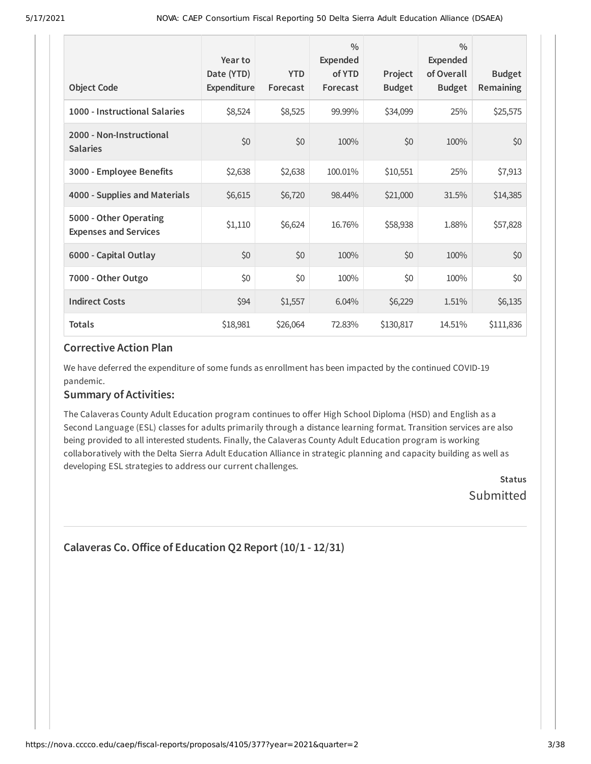| <b>Object Code</b>                                     | Year to<br>Date (YTD)<br>Expenditure | <b>YTD</b><br>Forecast | $\frac{0}{0}$<br><b>Expended</b><br>of YTD<br>Forecast | Project<br><b>Budget</b> | $\frac{0}{0}$<br>Expended<br>of Overall<br><b>Budget</b> | <b>Budget</b><br><b>Remaining</b> |
|--------------------------------------------------------|--------------------------------------|------------------------|--------------------------------------------------------|--------------------------|----------------------------------------------------------|-----------------------------------|
| 1000 - Instructional Salaries                          | \$8,524                              | \$8,525                | 99.99%                                                 | \$34,099                 | 25%                                                      | \$25,575                          |
| 2000 - Non-Instructional<br><b>Salaries</b>            | \$0                                  | \$0                    | 100%                                                   | \$0                      | 100%                                                     | \$0                               |
| 3000 - Employee Benefits                               | \$2,638                              | \$2,638                | 100.01%                                                | \$10,551                 | 25%                                                      | \$7,913                           |
| 4000 - Supplies and Materials                          | \$6,615                              | \$6,720                | 98.44%                                                 | \$21,000                 | 31.5%                                                    | \$14,385                          |
| 5000 - Other Operating<br><b>Expenses and Services</b> | \$1,110                              | \$6,624                | 16.76%                                                 | \$58,938                 | 1.88%                                                    | \$57,828                          |
| 6000 - Capital Outlay                                  | \$0                                  | \$0                    | 100%                                                   | \$0                      | 100%                                                     | \$0                               |
| 7000 - Other Outgo                                     | \$0                                  | \$0                    | 100%                                                   | \$0                      | 100%                                                     | \$0\$                             |
| <b>Indirect Costs</b>                                  | \$94                                 | \$1,557                | 6.04%                                                  | \$6,229                  | 1.51%                                                    | \$6,135                           |
| <b>Totals</b>                                          | \$18,981                             | \$26,064               | 72.83%                                                 | \$130,817                | 14.51%                                                   | \$111,836                         |

We have deferred the expenditure of some funds as enrollment has been impacted by the continued COVID-19 pandemic.

#### **Summary of Activities:**

The Calaveras County Adult Education program continues to offer High School Diploma (HSD) and English as a Second Language (ESL) classes for adults primarily through a distance learning format. Transition services are also being provided to all interested students. Finally, the Calaveras County Adult Education program is working collaboratively with the Delta Sierra Adult Education Alliance in strategic planning and capacity building as well as developing ESL strategies to address our current challenges.

> **Status** Submitted

```
Calaveras Co.Oice of Education Q2 Report (10/1 - 12/31)
```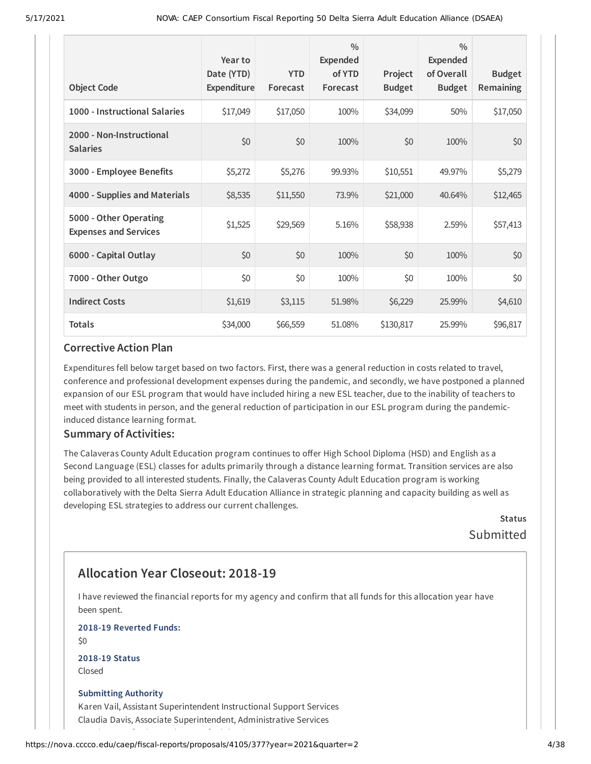| <b>Object Code</b>                                     | Year to<br>Date (YTD)<br>Expenditure | <b>YTD</b><br>Forecast | $\frac{0}{0}$<br>Expended<br>of YTD<br>Forecast | Project<br><b>Budget</b> | $\frac{0}{0}$<br><b>Expended</b><br>of Overall<br><b>Budget</b> | <b>Budget</b><br><b>Remaining</b> |
|--------------------------------------------------------|--------------------------------------|------------------------|-------------------------------------------------|--------------------------|-----------------------------------------------------------------|-----------------------------------|
| 1000 - Instructional Salaries                          | \$17,049                             | \$17,050               | 100%                                            | \$34,099                 | 50%                                                             | \$17,050                          |
| 2000 - Non-Instructional<br><b>Salaries</b>            | \$0                                  | \$0                    | 100%                                            | \$0                      | 100%                                                            | \$0                               |
| 3000 - Employee Benefits                               | \$5,272                              | \$5,276                | 99.93%                                          | \$10,551                 | 49.97%                                                          | \$5,279                           |
| 4000 - Supplies and Materials                          | \$8,535                              | \$11,550               | 73.9%                                           | \$21,000                 | 40.64%                                                          | \$12,465                          |
| 5000 - Other Operating<br><b>Expenses and Services</b> | \$1,525                              | \$29,569               | 5.16%                                           | \$58,938                 | 2.59%                                                           | \$57,413                          |
| 6000 - Capital Outlay                                  | \$0                                  | \$0                    | 100%                                            | \$0                      | 100%                                                            | \$0                               |
| 7000 - Other Outgo                                     | \$0                                  | \$0                    | 100%                                            | \$0                      | 100%                                                            | \$0                               |
| <b>Indirect Costs</b>                                  | \$1,619                              | \$3,115                | 51.98%                                          | \$6,229                  | 25.99%                                                          | \$4,610                           |
| <b>Totals</b>                                          | \$34,000                             | \$66,559               | 51.08%                                          | \$130,817                | 25.99%                                                          | \$96,817                          |

Expenditures fell below target based on two factors. First, there was a general reduction in costs related to travel, conference and professional development expenses during the pandemic, and secondly, we have postponed a planned expansion of our ESL program that would have included hiring a new ESL teacher, due to the inability of teachers to meet with students in person, and the general reduction of participation in our ESL program during the pandemicinduced distance learning format.

#### **Summary of Activities:**

The Calaveras County Adult Education program continues to offer High School Diploma (HSD) and English as a Second Language (ESL) classes for adults primarily through a distance learning format. Transition services are also being provided to all interested students. Finally, the Calaveras County Adult Education program is working collaboratively with the Delta Sierra Adult Education Alliance in strategic planning and capacity building as well as developing ESL strategies to address our current challenges.

> **Status** Submitted

## **Allocation Year Closeout: 2018-19**

I have reviewed the financial reports for my agency and confirm that all funds for this allocation year have been spent.

**2018-19 Reverted Funds:**

 $$0$$ 

**2018-19 Status** Closed

#### **Submitting Authority**

Karen Vail, Assistant Superintendent Instructional Support Services Claudia Davis, Associate Superintendent, Administrative Services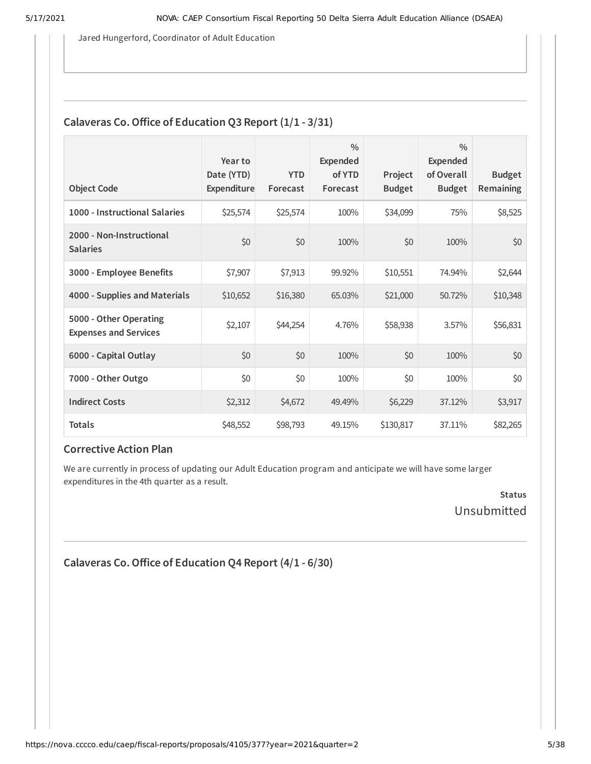Jared Hungerford, Coordinator of Adult Education

### **Calaveras Co. Office of Education Q3 Report**  $(1/1 - 3/31)$

| <b>Object Code</b>                                     | Year to<br>Date (YTD)<br>Expenditure | <b>YTD</b><br>Forecast | $\frac{0}{0}$<br><b>Expended</b><br>of YTD<br>Forecast | Project<br><b>Budget</b> | $\frac{0}{0}$<br>Expended<br>of Overall<br><b>Budget</b> | <b>Budget</b><br>Remaining |
|--------------------------------------------------------|--------------------------------------|------------------------|--------------------------------------------------------|--------------------------|----------------------------------------------------------|----------------------------|
| 1000 - Instructional Salaries                          | \$25,574                             | \$25,574               | 100%                                                   | \$34,099                 | 75%                                                      | \$8,525                    |
| 2000 - Non-Instructional<br><b>Salaries</b>            | \$0                                  | \$0                    | 100%                                                   | \$0                      | 100%                                                     | \$0                        |
| 3000 - Employee Benefits                               | \$7,907                              | \$7,913                | 99.92%                                                 | \$10,551                 | 74.94%                                                   | \$2,644                    |
| 4000 - Supplies and Materials                          | \$10,652                             | \$16,380               | 65.03%                                                 | \$21,000                 | 50.72%                                                   | \$10,348                   |
| 5000 - Other Operating<br><b>Expenses and Services</b> | \$2,107                              | \$44,254               | 4.76%                                                  | \$58,938                 | 3.57%                                                    | \$56,831                   |
| 6000 - Capital Outlay                                  | \$0                                  | \$0                    | 100%                                                   | \$0                      | 100%                                                     | \$0                        |
| 7000 - Other Outgo                                     | \$0                                  | \$0                    | 100%                                                   | \$0                      | 100%                                                     | \$0                        |
| <b>Indirect Costs</b>                                  | \$2,312                              | \$4,672                | 49.49%                                                 | \$6,229                  | 37.12%                                                   | \$3,917                    |
| <b>Totals</b>                                          | \$48,552                             | \$98,793               | 49.15%                                                 | \$130,817                | 37.11%                                                   | \$82,265                   |

#### **Corrective Action Plan**

We are currently in process of updating our Adult Education program and anticipate we will have some larger expenditures in the 4th quarter as a result.

> **Status** Unsubmitted

```
Calaveras Co.Oice of Education Q4 Report (4/1 - 6/30)
```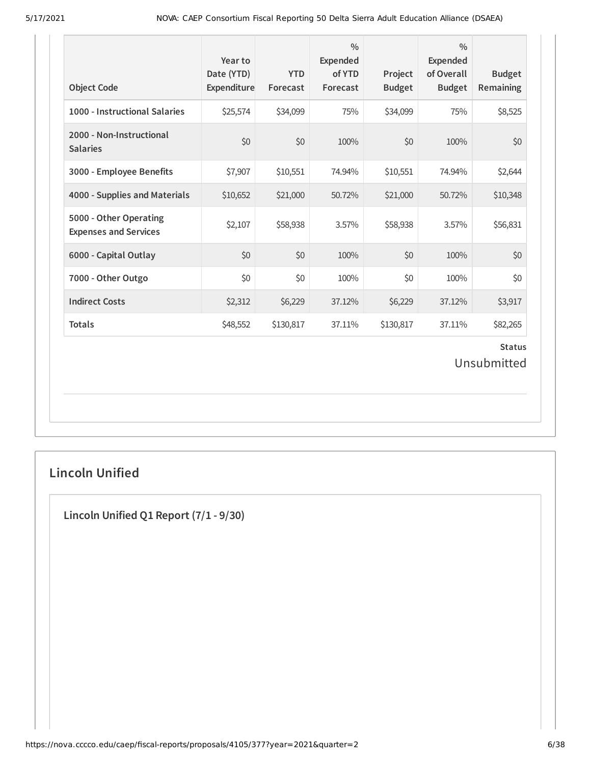| <b>Object Code</b>                                     | Year to<br>Date (YTD)<br>Expenditure | <b>YTD</b><br>Forecast | $\frac{0}{0}$<br><b>Expended</b><br>of YTD<br>Forecast | Project<br><b>Budget</b> | $\frac{0}{0}$<br><b>Expended</b><br>of Overall<br><b>Budget</b> | <b>Budget</b><br>Remaining   |
|--------------------------------------------------------|--------------------------------------|------------------------|--------------------------------------------------------|--------------------------|-----------------------------------------------------------------|------------------------------|
| 1000 - Instructional Salaries                          | \$25,574                             | \$34,099               | 75%                                                    | \$34,099                 | 75%                                                             | \$8,525                      |
| 2000 - Non-Instructional<br><b>Salaries</b>            | \$0                                  | \$0                    | 100%                                                   | \$0                      | 100%                                                            | \$0                          |
| 3000 - Employee Benefits                               | \$7,907                              | \$10,551               | 74.94%                                                 | \$10,551                 | 74.94%                                                          | \$2,644                      |
| 4000 - Supplies and Materials                          | \$10,652                             | \$21,000               | 50.72%                                                 | \$21,000                 | 50.72%                                                          | \$10,348                     |
| 5000 - Other Operating<br><b>Expenses and Services</b> | \$2,107                              | \$58,938               | 3.57%                                                  | \$58,938                 | 3.57%                                                           | \$56,831                     |
| 6000 - Capital Outlay                                  | \$0                                  | \$0                    | 100%                                                   | \$0                      | 100%                                                            | \$0                          |
| 7000 - Other Outgo                                     | \$0                                  | \$0                    | 100%                                                   | \$0                      | 100%                                                            | \$0                          |
| <b>Indirect Costs</b>                                  | \$2,312                              | \$6,229                | 37.12%                                                 | \$6,229                  | 37.12%                                                          | \$3,917                      |
| <b>Totals</b>                                          | \$48,552                             | \$130,817              | 37.11%                                                 | \$130,817                | 37.11%                                                          | \$82,265                     |
|                                                        |                                      |                        |                                                        |                          |                                                                 | <b>Status</b><br>Unsubmitted |

## **Lincoln Unified**

**Lincoln Unified Q1 Report (7/1 - 9/30)**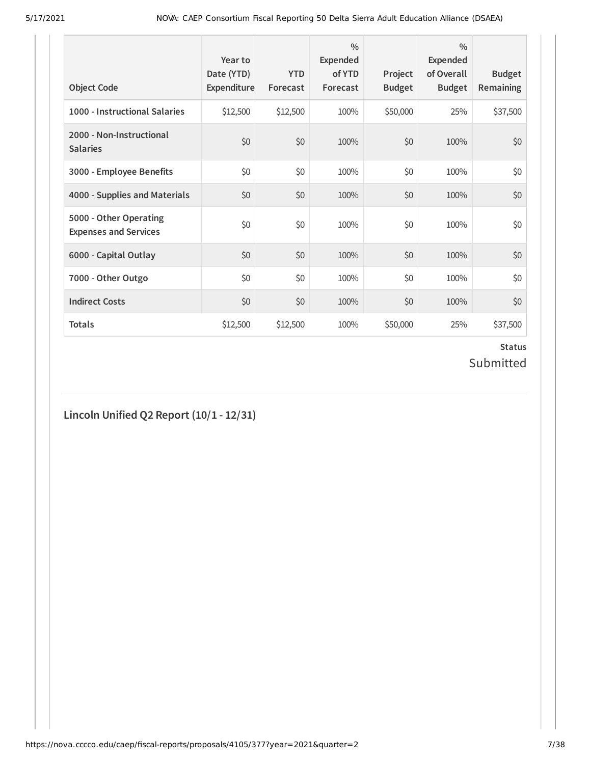| <b>Object Code</b>                                     | Year to<br>Date (YTD)<br>Expenditure | <b>YTD</b><br>Forecast | $\frac{0}{0}$<br>Expended<br>of YTD<br>Forecast | Project<br><b>Budget</b> | $\frac{0}{0}$<br>Expended<br>of Overall<br><b>Budget</b> | <b>Budget</b><br>Remaining |
|--------------------------------------------------------|--------------------------------------|------------------------|-------------------------------------------------|--------------------------|----------------------------------------------------------|----------------------------|
| 1000 - Instructional Salaries                          | \$12,500                             | \$12,500               | 100%                                            | \$50,000                 | 25%                                                      | \$37,500                   |
| 2000 - Non-Instructional<br><b>Salaries</b>            | \$0                                  | \$0                    | 100%                                            | \$0                      | 100%                                                     | \$0                        |
| 3000 - Employee Benefits                               | \$0                                  | \$0                    | 100%                                            | \$0                      | 100%                                                     | \$0                        |
| 4000 - Supplies and Materials                          | \$0                                  | \$0                    | 100%                                            | \$0                      | 100%                                                     | \$0                        |
| 5000 - Other Operating<br><b>Expenses and Services</b> | \$0                                  | \$0                    | 100%                                            | \$0                      | 100%                                                     | \$0                        |
| 6000 - Capital Outlay                                  | \$0                                  | \$0                    | 100%                                            | \$0                      | 100%                                                     | \$0                        |
| 7000 - Other Outgo                                     | \$0                                  | \$0                    | 100%                                            | \$0                      | 100%                                                     | \$0                        |
| <b>Indirect Costs</b>                                  | \$0                                  | \$0                    | 100%                                            | \$0                      | 100%                                                     | \$0                        |
| <b>Totals</b>                                          | \$12,500                             | \$12,500               | 100%                                            | \$50,000                 | 25%                                                      | \$37,500                   |

### **Status** Submitted

**Lincoln Unified Q2 Report (10/1 - 12/31)**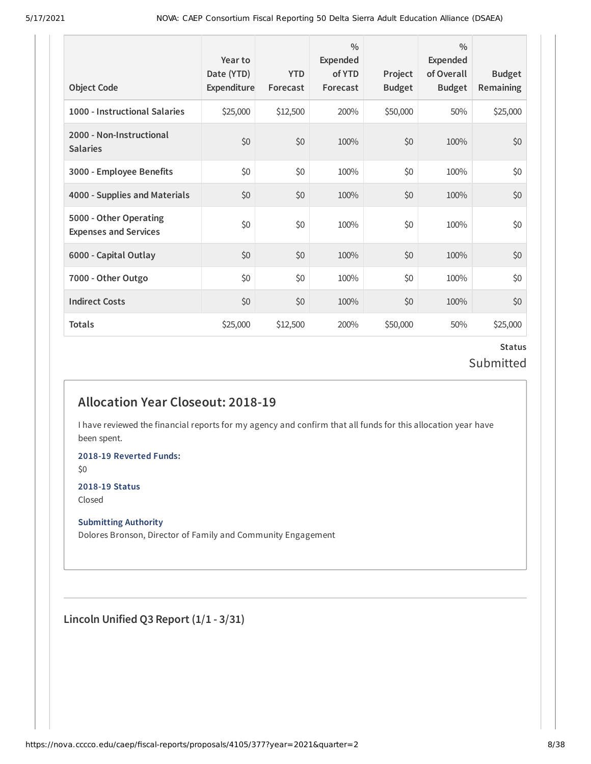| <b>Object Code</b>                                     | Year to<br>Date (YTD)<br>Expenditure | <b>YTD</b><br>Forecast | $\frac{0}{0}$<br>Expended<br>of YTD<br>Forecast | Project<br><b>Budget</b> | $\frac{0}{0}$<br>Expended<br>of Overall<br><b>Budget</b> | <b>Budget</b><br><b>Remaining</b> |
|--------------------------------------------------------|--------------------------------------|------------------------|-------------------------------------------------|--------------------------|----------------------------------------------------------|-----------------------------------|
| 1000 - Instructional Salaries                          | \$25,000                             | \$12,500               | 200%                                            | \$50,000                 | 50%                                                      | \$25,000                          |
| 2000 - Non-Instructional<br><b>Salaries</b>            | \$0                                  | \$0                    | 100%                                            | \$0                      | 100%                                                     | \$0                               |
| 3000 - Employee Benefits                               | \$0                                  | \$0                    | 100%                                            | \$0                      | 100%                                                     | \$0                               |
| 4000 - Supplies and Materials                          | \$0                                  | \$0                    | 100%                                            | \$0                      | 100%                                                     | \$0                               |
| 5000 - Other Operating<br><b>Expenses and Services</b> | \$0                                  | \$0                    | 100%                                            | \$0                      | 100%                                                     | \$0                               |
| 6000 - Capital Outlay                                  | \$0                                  | \$0                    | 100%                                            | \$0                      | 100%                                                     | \$0                               |
| 7000 - Other Outgo                                     | \$0                                  | \$0                    | 100%                                            | \$0                      | 100%                                                     | \$0\$                             |
| <b>Indirect Costs</b>                                  | \$0                                  | \$0                    | 100%                                            | \$0                      | 100%                                                     | \$0                               |
| <b>Totals</b>                                          | \$25,000                             | \$12,500               | 200%                                            | \$50,000                 | 50%                                                      | \$25,000                          |

## **Status** Submitted

## **Allocation Year Closeout: 2018-19**

I have reviewed the financial reports for my agency and confirm that all funds for this allocation year have been spent.

**2018-19 Reverted Funds:**

\$0

#### **2018-19 Status**

Closed

#### **Submitting Authority**

Dolores Bronson, Director of Family and Community Engagement

**Lincoln Unified Q3 Report (1/1 - 3/31)**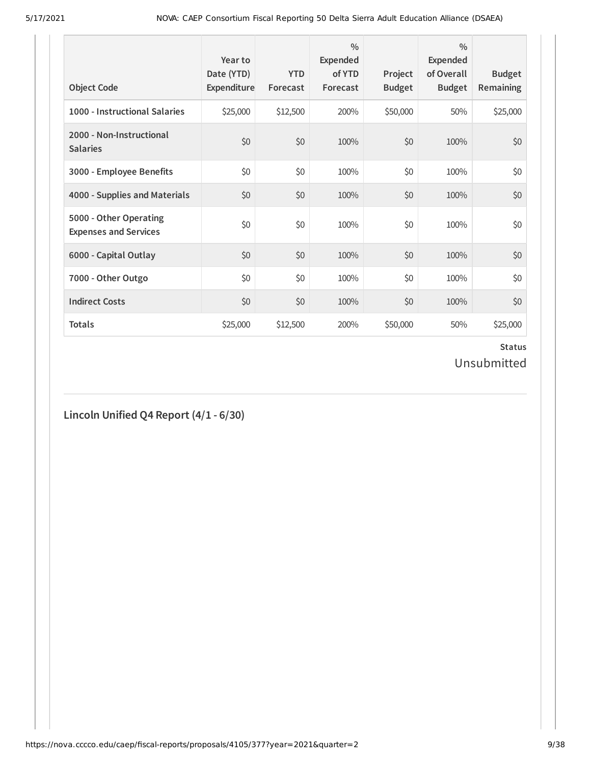| <b>Object Code</b>                                     | Year to<br>Date (YTD)<br>Expenditure | <b>YTD</b><br>Forecast | $\frac{0}{0}$<br><b>Expended</b><br>of YTD<br>Forecast | Project<br><b>Budget</b> | $\frac{0}{0}$<br><b>Expended</b><br>of Overall<br><b>Budget</b> | <b>Budget</b><br>Remaining |
|--------------------------------------------------------|--------------------------------------|------------------------|--------------------------------------------------------|--------------------------|-----------------------------------------------------------------|----------------------------|
| 1000 - Instructional Salaries                          | \$25,000                             | \$12,500               | 200%                                                   | \$50,000                 | 50%                                                             | \$25,000                   |
| 2000 - Non-Instructional<br><b>Salaries</b>            | \$0                                  | \$0                    | 100%                                                   | \$0                      | 100%                                                            | \$0                        |
| 3000 - Employee Benefits                               | \$0                                  | \$0                    | 100%                                                   | \$0                      | 100%                                                            | \$0                        |
| 4000 - Supplies and Materials                          | \$0                                  | \$0                    | 100%                                                   | \$0                      | 100%                                                            | \$0                        |
| 5000 - Other Operating<br><b>Expenses and Services</b> | \$0                                  | \$0                    | 100%                                                   | \$0                      | 100%                                                            | \$0                        |
| 6000 - Capital Outlay                                  | \$0                                  | \$0                    | 100%                                                   | \$0                      | 100%                                                            | \$0                        |
| 7000 - Other Outgo                                     | \$0                                  | \$0                    | 100%                                                   | \$0                      | 100%                                                            | \$0                        |
| <b>Indirect Costs</b>                                  | \$0                                  | \$0                    | 100%                                                   | \$0                      | 100%                                                            | \$0                        |
| <b>Totals</b>                                          | \$25,000                             | \$12,500               | 200%                                                   | \$50,000                 | 50%                                                             | \$25,000                   |

### **Status** Unsubmitted

## **Lincoln Unified Q4 Report (4/1 - 6/30)**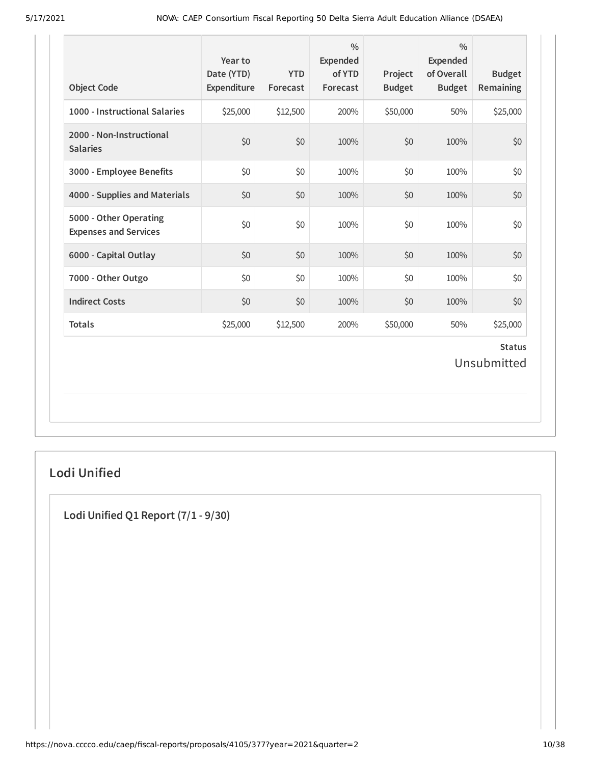| 1000 - Instructional Salaries<br>\$25,000<br>\$12,500<br>200%<br>\$50,000<br>50%<br>\$25,000<br>2000 - Non-Instructional<br>\$0<br>\$0<br>\$0<br>\$0<br>100%<br>100%<br><b>Salaries</b><br>\$0<br>\$0<br>\$0<br>3000 - Employee Benefits<br>\$0<br>100%<br>100%<br>\$0<br>\$0<br>4000 - Supplies and Materials<br>\$0<br>100%<br>\$0<br>100%<br>5000 - Other Operating<br>\$0<br>\$0<br>\$0<br>\$0<br>100%<br>100%<br><b>Expenses and Services</b><br>\$0<br>\$0<br>\$0<br>\$0<br>6000 - Capital Outlay<br>100%<br>100%<br>7000 - Other Outgo<br>\$0<br>\$0<br>\$0<br>\$0<br>100%<br>100%<br><b>Indirect Costs</b><br>\$0<br>\$0<br>100%<br>\$0<br>100%<br>\$0<br><b>Totals</b><br>\$25,000<br>\$12,500<br>200%<br>\$50,000<br>50%<br>\$25,000 | <b>Object Code</b> | Year to<br>Date (YTD)<br>Expenditure | <b>YTD</b><br>Forecast | $\frac{0}{0}$<br>Expended<br>of YTD<br>Forecast | Project<br><b>Budget</b> | $\frac{0}{0}$<br>Expended<br>of Overall<br><b>Budget</b> | <b>Budget</b><br><b>Remaining</b> |
|------------------------------------------------------------------------------------------------------------------------------------------------------------------------------------------------------------------------------------------------------------------------------------------------------------------------------------------------------------------------------------------------------------------------------------------------------------------------------------------------------------------------------------------------------------------------------------------------------------------------------------------------------------------------------------------------------------------------------------------------|--------------------|--------------------------------------|------------------------|-------------------------------------------------|--------------------------|----------------------------------------------------------|-----------------------------------|
|                                                                                                                                                                                                                                                                                                                                                                                                                                                                                                                                                                                                                                                                                                                                                |                    |                                      |                        |                                                 |                          |                                                          |                                   |
|                                                                                                                                                                                                                                                                                                                                                                                                                                                                                                                                                                                                                                                                                                                                                |                    |                                      |                        |                                                 |                          |                                                          |                                   |
|                                                                                                                                                                                                                                                                                                                                                                                                                                                                                                                                                                                                                                                                                                                                                |                    |                                      |                        |                                                 |                          |                                                          |                                   |
|                                                                                                                                                                                                                                                                                                                                                                                                                                                                                                                                                                                                                                                                                                                                                |                    |                                      |                        |                                                 |                          |                                                          |                                   |
| <b>Status</b><br>Unsubmitted                                                                                                                                                                                                                                                                                                                                                                                                                                                                                                                                                                                                                                                                                                                   |                    |                                      |                        |                                                 |                          |                                                          |                                   |
|                                                                                                                                                                                                                                                                                                                                                                                                                                                                                                                                                                                                                                                                                                                                                |                    |                                      |                        |                                                 |                          |                                                          |                                   |
|                                                                                                                                                                                                                                                                                                                                                                                                                                                                                                                                                                                                                                                                                                                                                |                    |                                      |                        |                                                 |                          |                                                          |                                   |
|                                                                                                                                                                                                                                                                                                                                                                                                                                                                                                                                                                                                                                                                                                                                                |                    |                                      |                        |                                                 |                          |                                                          |                                   |
|                                                                                                                                                                                                                                                                                                                                                                                                                                                                                                                                                                                                                                                                                                                                                |                    |                                      |                        |                                                 |                          |                                                          |                                   |
|                                                                                                                                                                                                                                                                                                                                                                                                                                                                                                                                                                                                                                                                                                                                                |                    |                                      |                        |                                                 |                          |                                                          |                                   |

## **Lodi Unified**

**Lodi Unified Q1 Report (7/1 - 9/30)**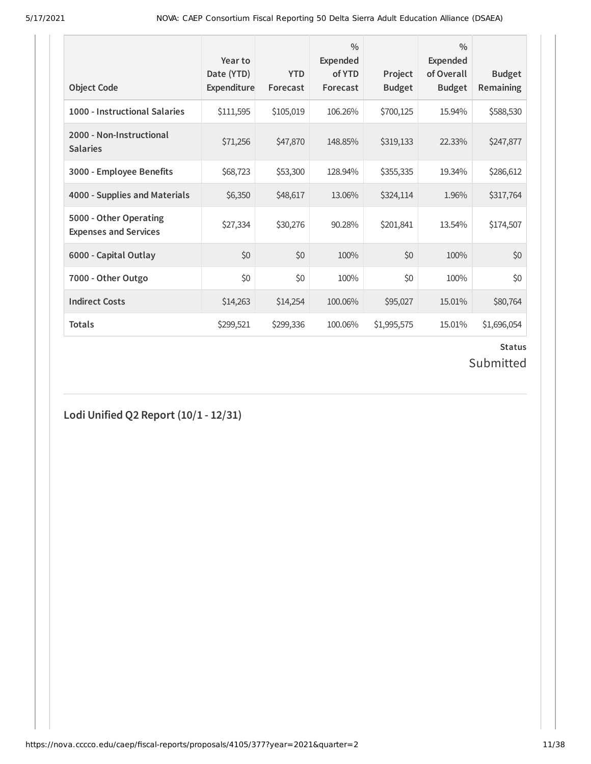| <b>Object Code</b>                                     | Year to<br>Date (YTD)<br><b>Expenditure</b> | <b>YTD</b><br>Forecast | $\frac{0}{0}$<br><b>Expended</b><br>of YTD<br>Forecast | Project<br><b>Budget</b> | $\frac{0}{0}$<br><b>Expended</b><br>of Overall<br><b>Budget</b> | <b>Budget</b><br><b>Remaining</b> |
|--------------------------------------------------------|---------------------------------------------|------------------------|--------------------------------------------------------|--------------------------|-----------------------------------------------------------------|-----------------------------------|
| 1000 - Instructional Salaries                          | \$111,595                                   | \$105,019              | 106.26%                                                | \$700,125                | 15.94%                                                          | \$588,530                         |
| 2000 - Non-Instructional<br><b>Salaries</b>            | \$71,256                                    | \$47,870               | 148.85%                                                | \$319,133                | 22.33%                                                          | \$247,877                         |
| 3000 - Employee Benefits                               | \$68,723                                    | \$53,300               | 128.94%                                                | \$355,335                | 19.34%                                                          | \$286,612                         |
| 4000 - Supplies and Materials                          | \$6,350                                     | \$48,617               | 13.06%                                                 | \$324,114                | 1.96%                                                           | \$317,764                         |
| 5000 - Other Operating<br><b>Expenses and Services</b> | \$27,334                                    | \$30,276               | 90.28%                                                 | \$201,841                | 13.54%                                                          | \$174,507                         |
| 6000 - Capital Outlay                                  | \$0                                         | \$0                    | 100%                                                   | \$0                      | 100%                                                            | \$0                               |
| 7000 - Other Outgo                                     | \$0                                         | \$0                    | 100%                                                   | \$0                      | 100%                                                            | \$0                               |
| <b>Indirect Costs</b>                                  | \$14,263                                    | \$14,254               | 100.06%                                                | \$95,027                 | 15.01%                                                          | \$80,764                          |
| <b>Totals</b>                                          | \$299,521                                   | \$299,336              | 100.06%                                                | \$1,995,575              | 15.01%                                                          | \$1,696,054                       |

# **Status**

## Submitted

**Lodi Unified Q2 Report (10/1 - 12/31)**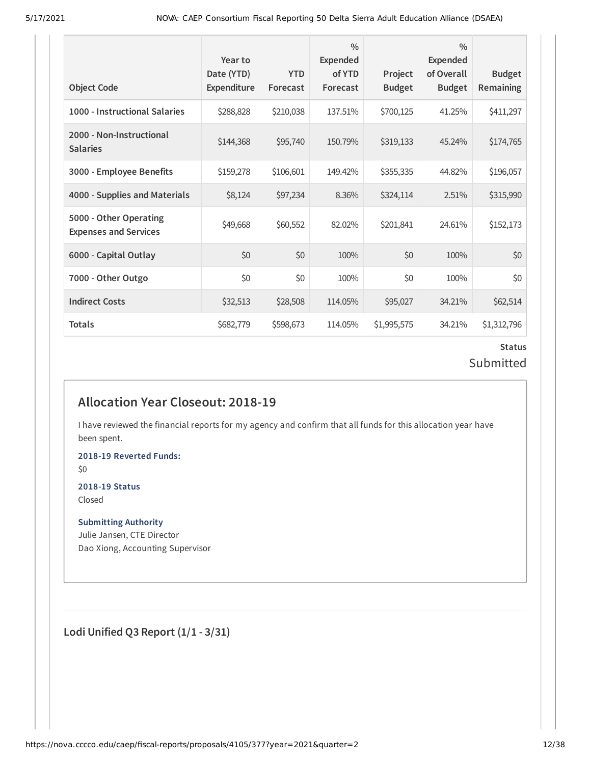| <b>Object Code</b>                                     | Year to<br>Date (YTD)<br>Expenditure | <b>YTD</b><br>Forecast | $\frac{0}{0}$<br><b>Expended</b><br>of YTD<br>Forecast | Project<br><b>Budget</b> | $\frac{0}{0}$<br><b>Expended</b><br>of Overall<br><b>Budget</b> | <b>Budget</b><br>Remaining |
|--------------------------------------------------------|--------------------------------------|------------------------|--------------------------------------------------------|--------------------------|-----------------------------------------------------------------|----------------------------|
| 1000 - Instructional Salaries                          | \$288,828                            | \$210,038              | 137.51%                                                | \$700,125                | 41.25%                                                          | \$411,297                  |
| 2000 - Non-Instructional<br><b>Salaries</b>            | \$144,368                            | \$95,740               | 150.79%                                                | \$319,133                | 45.24%                                                          | \$174,765                  |
| 3000 - Employee Benefits                               | \$159,278                            | \$106,601              | 149.42%                                                | \$355,335                | 44.82%                                                          | \$196,057                  |
| 4000 - Supplies and Materials                          | \$8,124                              | \$97,234               | 8.36%                                                  | \$324,114                | 2.51%                                                           | \$315,990                  |
| 5000 - Other Operating<br><b>Expenses and Services</b> | \$49,668                             | \$60,552               | 82.02%                                                 | \$201,841                | 24.61%                                                          | \$152,173                  |
| 6000 - Capital Outlay                                  | \$0                                  | \$0                    | 100%                                                   | \$0                      | 100%                                                            | \$0                        |
| 7000 - Other Outgo                                     | \$0                                  | \$0                    | 100%                                                   | \$0                      | 100%                                                            | \$0                        |
| <b>Indirect Costs</b>                                  | \$32,513                             | \$28,508               | 114.05%                                                | \$95,027                 | 34.21%                                                          | \$62,514                   |
| <b>Totals</b>                                          | \$682,779                            | \$598,673              | 114.05%                                                | \$1,995,575              | 34.21%                                                          | \$1,312,796                |

### **Status** Submitted

## **Allocation Year Closeout: 2018-19**

I have reviewed the financial reports for my agency and confirm that all funds for this allocation year have been spent.

**2018-19 Reverted Funds:**

\$0

#### **2018-19 Status** Closed

**Submitting Authority**

Julie Jansen, CTE Director Dao Xiong, Accounting Supervisor

**Lodi Unified Q3 Report (1/1 - 3/31)**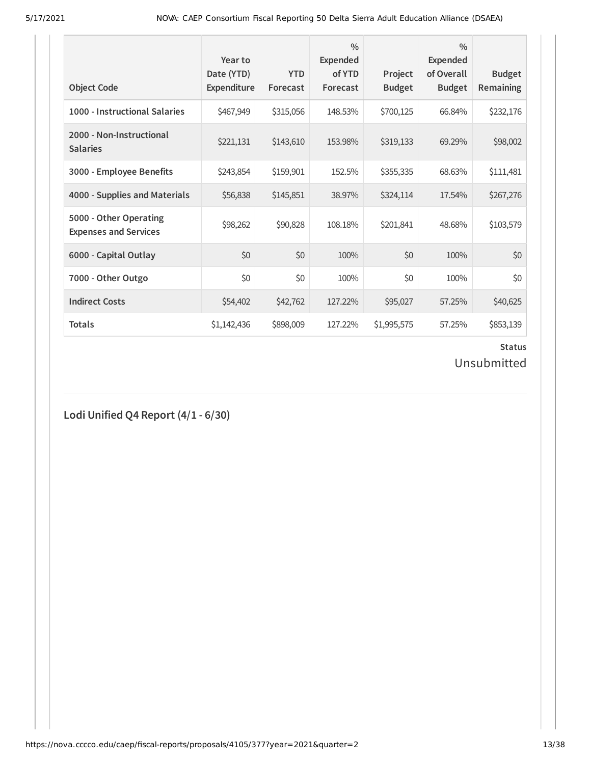| <b>Object Code</b>                                     | Year to<br>Date (YTD)<br><b>Expenditure</b> | <b>YTD</b><br>Forecast | $\frac{0}{0}$<br>Expended<br>of YTD<br>Forecast | Project<br><b>Budget</b> | $\frac{0}{0}$<br><b>Expended</b><br>of Overall<br><b>Budget</b> | <b>Budget</b><br>Remaining |
|--------------------------------------------------------|---------------------------------------------|------------------------|-------------------------------------------------|--------------------------|-----------------------------------------------------------------|----------------------------|
| 1000 - Instructional Salaries                          | \$467,949                                   | \$315,056              | 148.53%                                         | \$700,125                | 66.84%                                                          | \$232,176                  |
| 2000 - Non-Instructional<br><b>Salaries</b>            | \$221,131                                   | \$143,610              | 153.98%                                         | \$319,133                | 69.29%                                                          | \$98,002                   |
| 3000 - Employee Benefits                               | \$243,854                                   | \$159,901              | 152.5%                                          | \$355,335                | 68.63%                                                          | \$111,481                  |
| 4000 - Supplies and Materials                          | \$56,838                                    | \$145,851              | 38.97%                                          | \$324,114                | 17.54%                                                          | \$267,276                  |
| 5000 - Other Operating<br><b>Expenses and Services</b> | \$98,262                                    | \$90,828               | 108.18%                                         | \$201,841                | 48.68%                                                          | \$103,579                  |
| 6000 - Capital Outlay                                  | \$0                                         | \$0                    | 100%                                            | \$0                      | 100%                                                            | \$0                        |
| 7000 - Other Outgo                                     | \$0                                         | \$0                    | 100%                                            | \$0                      | 100%                                                            | \$0                        |
| <b>Indirect Costs</b>                                  | \$54,402                                    | \$42,762               | 127.22%                                         | \$95,027                 | 57.25%                                                          | \$40,625                   |
| <b>Totals</b>                                          | \$1,142,436                                 | \$898,009              | 127.22%                                         | \$1,995,575              | 57.25%                                                          | \$853,139                  |

## **Status**

## Unsubmitted

**Lodi Unified Q4 Report (4/1 - 6/30)**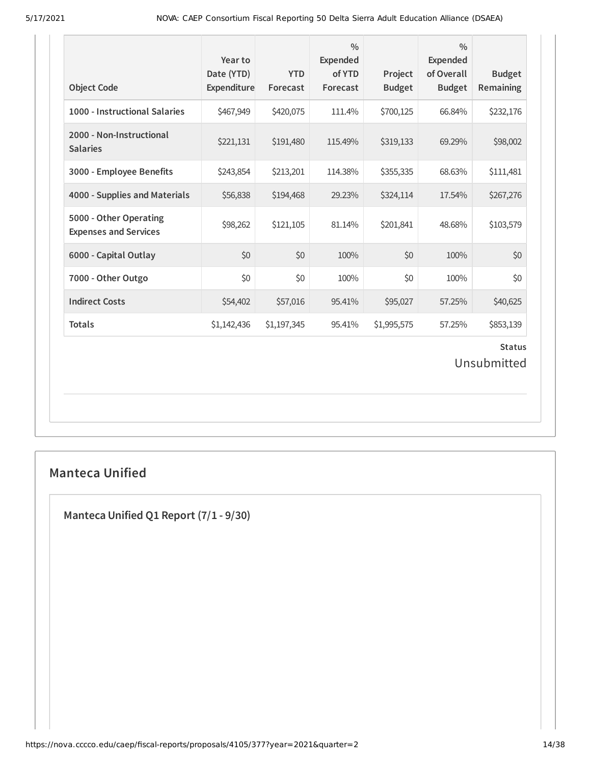| <b>Object Code</b>                                     | Year to<br>Date (YTD)<br>Expenditure | <b>YTD</b><br>Forecast | $\frac{0}{0}$<br><b>Expended</b><br>of YTD<br>Forecast | Project<br><b>Budget</b> | $\frac{0}{0}$<br><b>Expended</b><br>of Overall<br><b>Budget</b> | <b>Budget</b><br><b>Remaining</b> |  |
|--------------------------------------------------------|--------------------------------------|------------------------|--------------------------------------------------------|--------------------------|-----------------------------------------------------------------|-----------------------------------|--|
| 1000 - Instructional Salaries                          | \$467,949                            | \$420,075              | 111.4%                                                 | \$700,125                | 66.84%                                                          | \$232,176                         |  |
| 2000 - Non-Instructional<br><b>Salaries</b>            | \$221,131                            | \$191,480              | 115.49%                                                | \$319,133                | 69.29%                                                          | \$98,002                          |  |
| 3000 - Employee Benefits                               | \$243,854                            | \$213,201              | 114.38%                                                | \$355,335                | 68.63%                                                          | \$111,481                         |  |
| 4000 - Supplies and Materials                          | \$56,838                             | \$194,468              | 29.23%                                                 | \$324,114                | 17.54%                                                          | \$267,276                         |  |
| 5000 - Other Operating<br><b>Expenses and Services</b> | \$98,262                             | \$121,105              | 81.14%                                                 | \$201,841                | 48.68%                                                          | \$103,579                         |  |
| 6000 - Capital Outlay                                  | \$0                                  | \$0                    | 100%                                                   | \$0                      | 100%                                                            | \$0                               |  |
| 7000 - Other Outgo                                     | \$0                                  | \$0                    | 100%                                                   | \$0                      | 100%                                                            | \$0                               |  |
| <b>Indirect Costs</b>                                  | \$54,402                             | \$57,016               | 95.41%                                                 | \$95,027                 | 57.25%                                                          | \$40,625                          |  |
| <b>Totals</b>                                          | \$1,142,436                          | \$1,197,345            | 95.41%                                                 | \$1,995,575              | 57.25%                                                          | \$853,139                         |  |
| <b>Status</b><br>Unsubmitted                           |                                      |                        |                                                        |                          |                                                                 |                                   |  |

## **Manteca Unified**

**Manteca Unified Q1 Report (7/1 - 9/30)**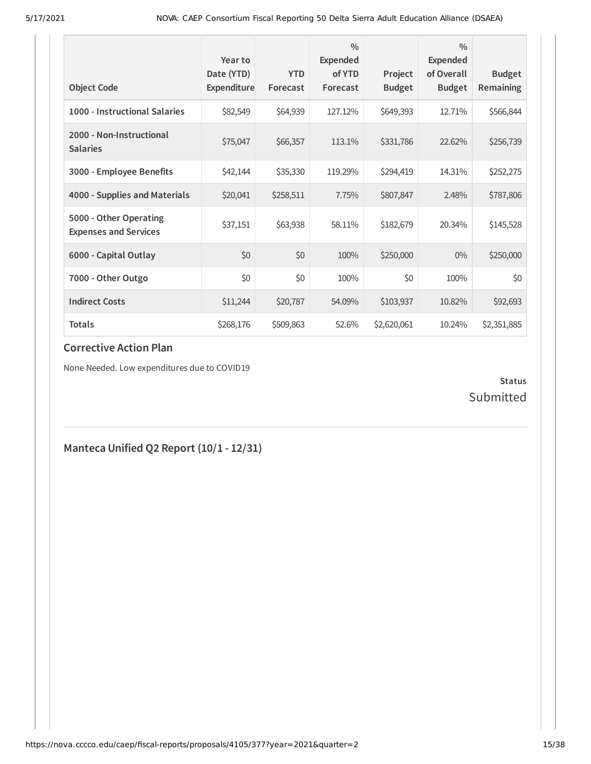| <b>Object Code</b>                                     | Year to<br>Date (YTD)<br>Expenditure | <b>YTD</b><br>Forecast | $\frac{0}{0}$<br>Expended<br>of YTD<br>Forecast | Project<br><b>Budget</b> | $\frac{0}{0}$<br><b>Expended</b><br>of Overall<br><b>Budget</b> | <b>Budget</b><br><b>Remaining</b> |
|--------------------------------------------------------|--------------------------------------|------------------------|-------------------------------------------------|--------------------------|-----------------------------------------------------------------|-----------------------------------|
| 1000 - Instructional Salaries                          | \$82,549                             | \$64,939               | 127.12%                                         | \$649,393                | 12.71%                                                          | \$566,844                         |
| 2000 - Non-Instructional<br><b>Salaries</b>            | \$75,047                             | \$66,357               | 113.1%                                          | \$331,786                | 22.62%                                                          | \$256,739                         |
| 3000 - Employee Benefits                               | \$42,144                             | \$35,330               | 119.29%                                         | \$294,419                | 14.31%                                                          | \$252,275                         |
| 4000 - Supplies and Materials                          | \$20,041                             | \$258,511              | 7.75%                                           | \$807,847                | 2.48%                                                           | \$787,806                         |
| 5000 - Other Operating<br><b>Expenses and Services</b> | \$37,151                             | \$63,938               | 58.11%                                          | \$182,679                | 20.34%                                                          | \$145,528                         |
| 6000 - Capital Outlay                                  | \$0                                  | \$0                    | 100%                                            | \$250,000                | $0\%$                                                           | \$250,000                         |
| 7000 - Other Outgo                                     | \$0                                  | \$0                    | 100%                                            | \$0                      | 100%                                                            | \$0                               |
| <b>Indirect Costs</b>                                  | \$11,244                             | \$20,787               | 54.09%                                          | \$103,937                | 10.82%                                                          | \$92,693                          |
| <b>Totals</b>                                          | \$268,176                            | \$509,863              | 52.6%                                           | \$2,620,061              | 10.24%                                                          | \$2,351,885                       |

None Needed. Low expenditures due to COVID19

### **Status** Submitted

## **Manteca Unified Q2 Report (10/1 - 12/31)**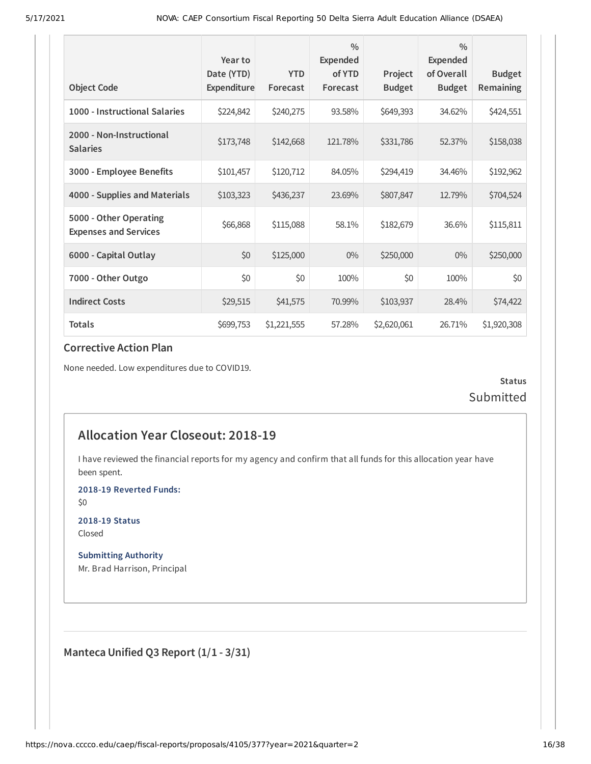|                                                        | Year to<br>Date (YTD) | <b>YTD</b>  | $\frac{0}{0}$<br>Expended<br>of YTD | Project       | $\frac{0}{0}$<br><b>Expended</b><br>of Overall | <b>Budget</b> |
|--------------------------------------------------------|-----------------------|-------------|-------------------------------------|---------------|------------------------------------------------|---------------|
| <b>Object Code</b>                                     | Expenditure           | Forecast    | Forecast                            | <b>Budget</b> | <b>Budget</b>                                  | Remaining     |
| 1000 - Instructional Salaries                          | \$224,842             | \$240,275   | 93.58%                              | \$649,393     | 34.62%                                         | \$424,551     |
| 2000 - Non-Instructional<br><b>Salaries</b>            | \$173,748             | \$142,668   | 121.78%                             | \$331,786     | 52.37%                                         | \$158,038     |
| 3000 - Employee Benefits                               | \$101,457             | \$120,712   | 84.05%                              | \$294,419     | 34.46%                                         | \$192,962     |
| 4000 - Supplies and Materials                          | \$103,323             | \$436,237   | 23.69%                              | \$807,847     | 12.79%                                         | \$704,524     |
| 5000 - Other Operating<br><b>Expenses and Services</b> | \$66,868              | \$115,088   | 58.1%                               | \$182,679     | 36.6%                                          | \$115,811     |
| 6000 - Capital Outlay                                  | \$0                   | \$125,000   | $0\%$                               | \$250,000     | $0\%$                                          | \$250,000     |
| 7000 - Other Outgo                                     | \$0                   | \$0         | 100%                                | \$0           | 100%                                           | \$0           |
| <b>Indirect Costs</b>                                  | \$29,515              | \$41,575    | 70.99%                              | \$103,937     | 28.4%                                          | \$74,422      |
| <b>Totals</b>                                          | \$699,753             | \$1,221,555 | 57.28%                              | \$2,620,061   | 26.71%                                         | \$1,920,308   |

None needed. Low expenditures due to COVID19.

**Status** Submitted

## **Allocation Year Closeout: 2018-19**

I have reviewed the financial reports for my agency and confirm that all funds for this allocation year have been spent.

**2018-19 Reverted Funds:**

\$0

**2018-19 Status** Closed

**Submitting Authority** Mr. Brad Harrison, Principal

**Manteca Unified Q3 Report (1/1 - 3/31)**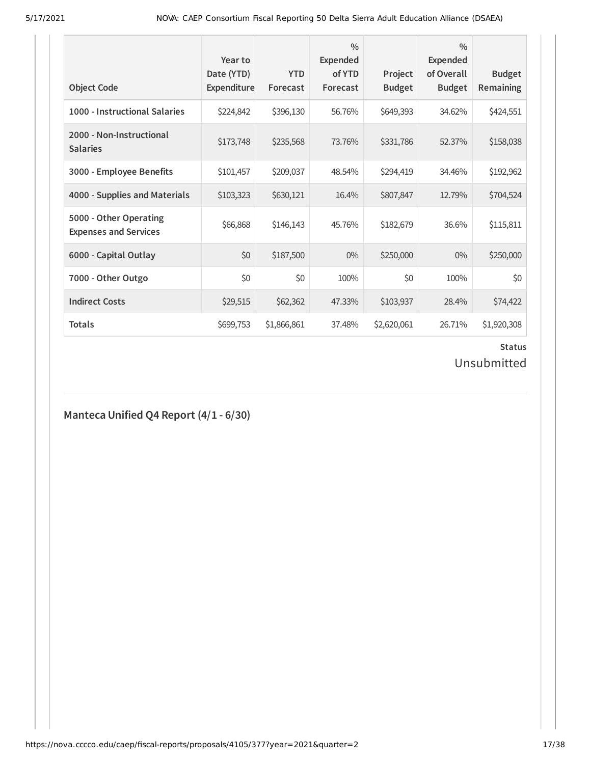| <b>Object Code</b>                                     | Year to<br>Date (YTD)<br>Expenditure | <b>YTD</b><br>Forecast | $\frac{0}{0}$<br>Expended<br>of YTD<br>Forecast | Project<br><b>Budget</b> | $\frac{0}{0}$<br>Expended<br>of Overall<br><b>Budget</b> | <b>Budget</b><br><b>Remaining</b> |
|--------------------------------------------------------|--------------------------------------|------------------------|-------------------------------------------------|--------------------------|----------------------------------------------------------|-----------------------------------|
| 1000 - Instructional Salaries                          | \$224,842                            | \$396,130              | 56.76%                                          | \$649,393                | 34.62%                                                   | \$424,551                         |
| 2000 - Non-Instructional<br><b>Salaries</b>            | \$173,748                            | \$235,568              | 73.76%                                          | \$331,786                | 52.37%                                                   | \$158,038                         |
| 3000 - Employee Benefits                               | \$101,457                            | \$209,037              | 48.54%                                          | \$294,419                | 34.46%                                                   | \$192,962                         |
| 4000 - Supplies and Materials                          | \$103,323                            | \$630,121              | 16.4%                                           | \$807,847                | 12.79%                                                   | \$704,524                         |
| 5000 - Other Operating<br><b>Expenses and Services</b> | \$66,868                             | \$146,143              | 45.76%                                          | \$182,679                | 36.6%                                                    | \$115,811                         |
| 6000 - Capital Outlay                                  | \$0                                  | \$187,500              | $0\%$                                           | \$250,000                | $0\%$                                                    | \$250,000                         |
| 7000 - Other Outgo                                     | \$0                                  | \$0                    | 100%                                            | \$0                      | 100%                                                     | \$0                               |
| <b>Indirect Costs</b>                                  | \$29,515                             | \$62,362               | 47.33%                                          | \$103,937                | 28.4%                                                    | \$74,422                          |
| <b>Totals</b>                                          | \$699,753                            | \$1,866,861            | 37.48%                                          | \$2,620,061              | 26.71%                                                   | \$1,920,308                       |

## **Status**

## Unsubmitted

**Manteca Unified Q4 Report (4/1 - 6/30)**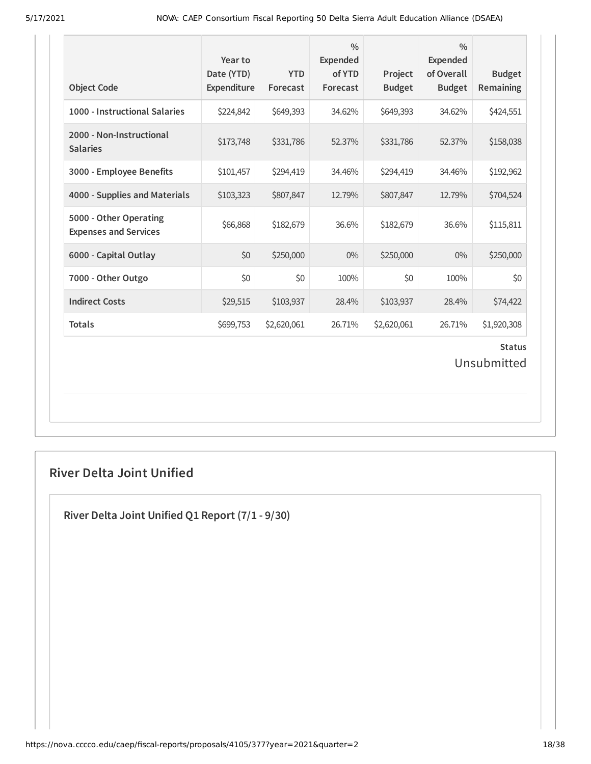| <b>Object Code</b>                                     | Year to<br>Date (YTD)<br>Expenditure | <b>YTD</b><br>Forecast | $\frac{0}{0}$<br><b>Expended</b><br>of YTD<br>Forecast | Project<br><b>Budget</b> | $\frac{0}{0}$<br>Expended<br>of Overall<br><b>Budget</b> | <b>Budget</b><br>Remaining |  |
|--------------------------------------------------------|--------------------------------------|------------------------|--------------------------------------------------------|--------------------------|----------------------------------------------------------|----------------------------|--|
| 1000 - Instructional Salaries                          | \$224,842                            | \$649,393              | 34.62%                                                 | \$649,393                | 34.62%                                                   | \$424,551                  |  |
| 2000 - Non-Instructional<br><b>Salaries</b>            | \$173,748                            | \$331,786              | 52.37%                                                 | \$331,786                | 52.37%                                                   | \$158,038                  |  |
| 3000 - Employee Benefits                               | \$101,457                            | \$294,419              | 34.46%                                                 | \$294,419                | 34.46%                                                   | \$192,962                  |  |
| 4000 - Supplies and Materials                          | \$103,323                            | \$807,847              | 12.79%                                                 | \$807,847                | 12.79%                                                   | \$704,524                  |  |
| 5000 - Other Operating<br><b>Expenses and Services</b> | \$66,868                             | \$182,679              | 36.6%                                                  | \$182,679                | 36.6%                                                    | \$115,811                  |  |
| 6000 - Capital Outlay                                  | \$0                                  | \$250,000              | $0\%$                                                  | \$250,000                | $0\%$                                                    | \$250,000                  |  |
| 7000 - Other Outgo                                     | \$0                                  | \$0                    | 100%                                                   | \$0                      | 100%                                                     | \$0                        |  |
| <b>Indirect Costs</b>                                  | \$29,515                             | \$103,937              | 28.4%                                                  | \$103,937                | 28.4%                                                    | \$74,422                   |  |
| <b>Totals</b>                                          | \$699,753                            | \$2,620,061            | 26.71%                                                 | \$2,620,061              | 26.71%                                                   | \$1,920,308                |  |
| <b>Status</b><br>Unsubmitted                           |                                      |                        |                                                        |                          |                                                          |                            |  |

## **River Delta Joint Unified**

**River Delta Joint Unified Q1 Report (7/1 - 9/30)**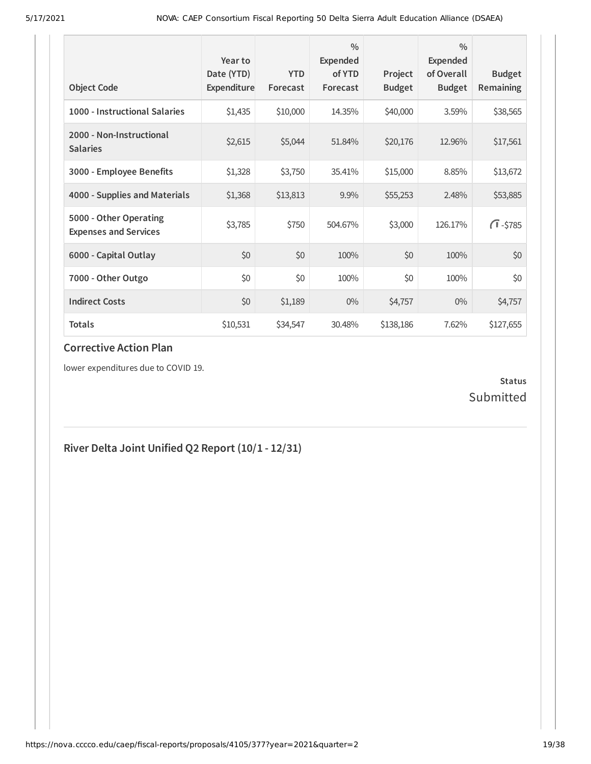| <b>Object Code</b>                                     | Year to<br>Date (YTD)<br>Expenditure | <b>YTD</b><br>Forecast | $\frac{0}{0}$<br>Expended<br>of YTD<br>Forecast | Project<br><b>Budget</b> | $\frac{0}{0}$<br>Expended<br>of Overall<br><b>Budget</b> | <b>Budget</b><br>Remaining |
|--------------------------------------------------------|--------------------------------------|------------------------|-------------------------------------------------|--------------------------|----------------------------------------------------------|----------------------------|
| 1000 - Instructional Salaries                          | \$1,435                              | \$10,000               | 14.35%                                          | \$40,000                 | 3.59%                                                    | \$38,565                   |
| 2000 - Non-Instructional<br><b>Salaries</b>            | \$2,615                              | \$5,044                | 51.84%                                          | \$20,176                 | 12.96%                                                   | \$17,561                   |
| 3000 - Employee Benefits                               | \$1,328                              | \$3,750                | 35.41%                                          | \$15,000                 | 8.85%                                                    | \$13,672                   |
| 4000 - Supplies and Materials                          | \$1,368                              | \$13,813               | 9.9%                                            | \$55,253                 | 2.48%                                                    | \$53,885                   |
| 5000 - Other Operating<br><b>Expenses and Services</b> | \$3,785                              | \$750                  | 504.67%                                         | \$3,000                  | 126.17%                                                  | $\sqrt{1} - $785$          |
| 6000 - Capital Outlay                                  | \$0                                  | \$0                    | 100%                                            | \$0                      | 100%                                                     | \$0                        |
| 7000 - Other Outgo                                     | \$0                                  | \$0                    | 100%                                            | \$0                      | 100%                                                     | \$0                        |
| <b>Indirect Costs</b>                                  | \$0                                  | \$1,189                | $0\%$                                           | \$4,757                  | $0\%$                                                    | \$4,757                    |
| <b>Totals</b>                                          | \$10,531                             | \$34,547               | 30.48%                                          | \$138,186                | 7.62%                                                    | \$127,655                  |

lower expenditures due to COVID 19.

### **Status** Submitted

## **River Delta Joint Unified Q2 Report (10/1 - 12/31)**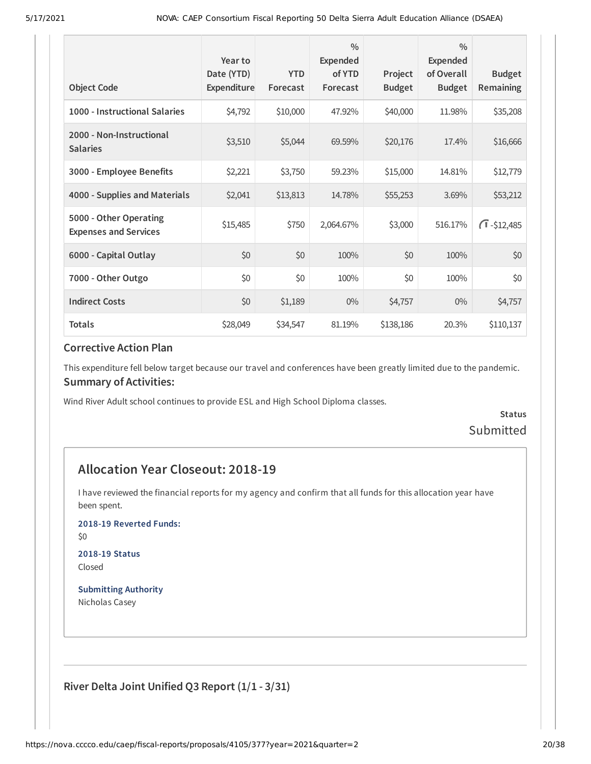| <b>Object Code</b>                                     | Year to<br>Date (YTD)<br>Expenditure | <b>YTD</b><br>Forecast | $\frac{0}{0}$<br>Expended<br>of YTD<br>Forecast | Project<br><b>Budget</b> | $\frac{0}{0}$<br>Expended<br>of Overall<br><b>Budget</b> | <b>Budget</b><br>Remaining |
|--------------------------------------------------------|--------------------------------------|------------------------|-------------------------------------------------|--------------------------|----------------------------------------------------------|----------------------------|
| 1000 - Instructional Salaries                          | \$4,792                              | \$10,000               | 47.92%                                          | \$40,000                 | 11.98%                                                   | \$35,208                   |
| 2000 - Non-Instructional<br><b>Salaries</b>            | \$3,510                              | \$5,044                | 69.59%                                          | \$20,176                 | 17.4%                                                    | \$16,666                   |
| 3000 - Employee Benefits                               | \$2,221                              | \$3,750                | 59.23%                                          | \$15,000                 | 14.81%                                                   | \$12,779                   |
| 4000 - Supplies and Materials                          | \$2,041                              | \$13,813               | 14.78%                                          | \$55,253                 | 3.69%                                                    | \$53,212                   |
| 5000 - Other Operating<br><b>Expenses and Services</b> | \$15,485                             | \$750                  | 2,064.67%                                       | \$3,000                  | 516.17%                                                  | $\sqrt{1} - $12,485$       |
| 6000 - Capital Outlay                                  | \$0                                  | \$0                    | 100%                                            | \$0                      | 100%                                                     | \$0                        |
| 7000 - Other Outgo                                     | \$0                                  | \$0                    | 100%                                            | \$0                      | 100%                                                     | \$0                        |
| <b>Indirect Costs</b>                                  | \$0                                  | \$1,189                | $0\%$                                           | \$4,757                  | $0\%$                                                    | \$4,757                    |
| <b>Totals</b>                                          | \$28,049                             | \$34,547               | 81.19%                                          | \$138,186                | 20.3%                                                    | \$110,137                  |

This expenditure fell below target because our travel and conferences have been greatly limited due to the pandemic. **Summary of Activities:**

Wind River Adult school continues to provide ESL and High School Diploma classes.

**Status** Submitted

## **Allocation Year Closeout: 2018-19**

I have reviewed the financial reports for my agency and confirm that all funds for this allocation year have been spent.

**2018-19 Reverted Funds:**

\$0

**2018-19 Status** Closed

**Submitting Authority** Nicholas Casey

**River Delta Joint Unified Q3 Report (1/1 - 3/31)**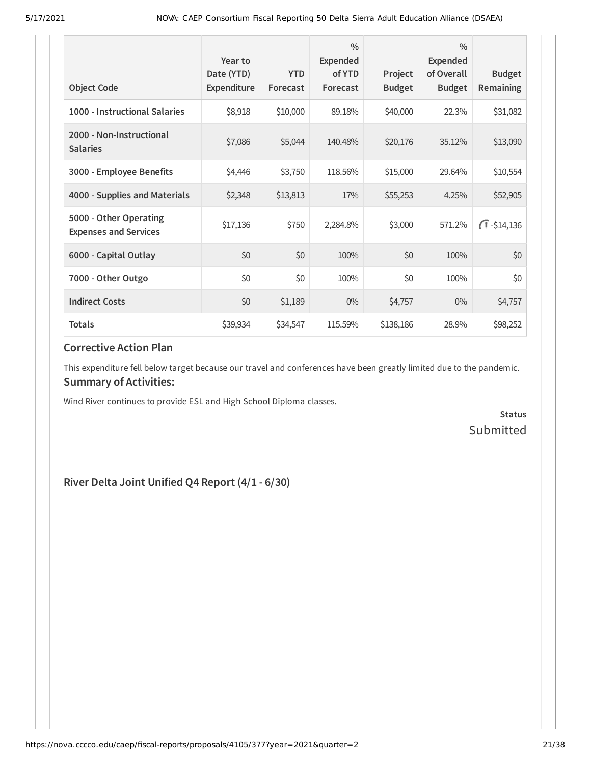| <b>Object Code</b>                                     | Year to<br>Date (YTD)<br>Expenditure | <b>YTD</b><br>Forecast | $\frac{0}{0}$<br>Expended<br>of YTD<br>Forecast | Project<br><b>Budget</b> | $\frac{0}{0}$<br>Expended<br>of Overall<br><b>Budget</b> | <b>Budget</b><br><b>Remaining</b> |
|--------------------------------------------------------|--------------------------------------|------------------------|-------------------------------------------------|--------------------------|----------------------------------------------------------|-----------------------------------|
| 1000 - Instructional Salaries                          | \$8,918                              | \$10,000               | 89.18%                                          | \$40,000                 | 22.3%                                                    | \$31,082                          |
| 2000 - Non-Instructional<br><b>Salaries</b>            | \$7,086                              | \$5,044                | 140.48%                                         | \$20,176                 | 35.12%                                                   | \$13,090                          |
| 3000 - Employee Benefits                               | \$4,446                              | \$3,750                | 118.56%                                         | \$15,000                 | 29.64%                                                   | \$10,554                          |
| 4000 - Supplies and Materials                          | \$2,348                              | \$13,813               | 17%                                             | \$55,253                 | 4.25%                                                    | \$52,905                          |
| 5000 - Other Operating<br><b>Expenses and Services</b> | \$17,136                             | \$750                  | 2,284.8%                                        | \$3,000                  | 571.2%                                                   | $\sqrt{1} - $14,136$              |
| 6000 - Capital Outlay                                  | \$0                                  | \$0                    | 100%                                            | \$0                      | 100%                                                     | \$0                               |
| 7000 - Other Outgo                                     | \$0                                  | \$0                    | 100%                                            | \$0                      | 100%                                                     | \$0                               |
| <b>Indirect Costs</b>                                  | \$0                                  | \$1,189                | $0\%$                                           | \$4,757                  | $0\%$                                                    | \$4,757                           |
| <b>Totals</b>                                          | \$39,934                             | \$34,547               | 115.59%                                         | \$138,186                | 28.9%                                                    | \$98,252                          |

This expenditure fell below target because our travel and conferences have been greatly limited due to the pandemic. **Summary of Activities:**

Wind River continues to provide ESL and High School Diploma classes.

**Status Submitted** 

### **River Delta Joint Unified Q4 Report (4/1 - 6/30)**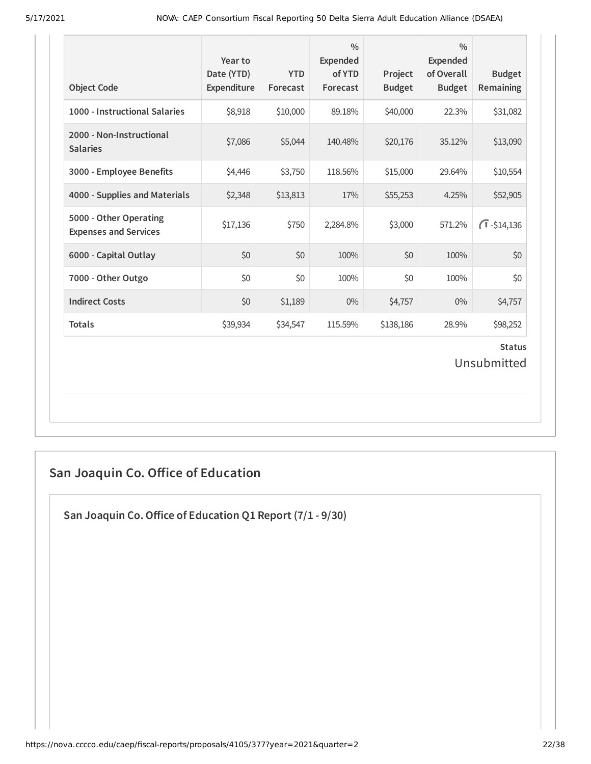| <b>Object Code</b>                                     | Year to<br>Date (YTD)<br>Expenditure | <b>YTD</b><br>Forecast | $\frac{0}{0}$<br><b>Expended</b><br>of YTD<br>Forecast | Project<br><b>Budget</b> | $\frac{0}{0}$<br><b>Expended</b><br>of Overall<br><b>Budget</b> | <b>Budget</b><br>Remaining |  |
|--------------------------------------------------------|--------------------------------------|------------------------|--------------------------------------------------------|--------------------------|-----------------------------------------------------------------|----------------------------|--|
| 1000 - Instructional Salaries                          | \$8,918                              | \$10,000               | 89.18%                                                 | \$40,000                 | 22.3%                                                           | \$31,082                   |  |
| 2000 - Non-Instructional<br><b>Salaries</b>            | \$7,086                              | \$5,044                | 140.48%                                                | \$20,176                 | 35.12%                                                          | \$13,090                   |  |
| 3000 - Employee Benefits                               | \$4,446                              | \$3,750                | 118.56%                                                | \$15,000                 | 29.64%                                                          | \$10,554                   |  |
| 4000 - Supplies and Materials                          | \$2,348                              | \$13,813               | 17%                                                    | \$55,253                 | 4.25%                                                           | \$52,905                   |  |
| 5000 - Other Operating<br><b>Expenses and Services</b> | \$17,136                             | \$750                  | 2,284.8%                                               | \$3,000                  | 571.2%                                                          | $\bigcap$ -\$14,136        |  |
| 6000 - Capital Outlay                                  | \$0                                  | \$0                    | 100%                                                   | \$0                      | 100%                                                            | \$0                        |  |
| 7000 - Other Outgo                                     | \$0                                  | \$0                    | 100%                                                   | \$0                      | 100%                                                            | \$0                        |  |
| <b>Indirect Costs</b>                                  | \$0                                  | \$1,189                | $0\%$                                                  | \$4,757                  | 0%                                                              | \$4,757                    |  |
| <b>Totals</b>                                          | \$39,934                             | \$34,547               | 115.59%                                                | \$138,186                | 28.9%                                                           | \$98,252                   |  |
| <b>Status</b><br>Unsubmitted                           |                                      |                        |                                                        |                          |                                                                 |                            |  |

## **San Joaquin Co. Oice of Education**

**San Joaquin Co.Oice of Education Q1 Report (7/1 - 9/30)**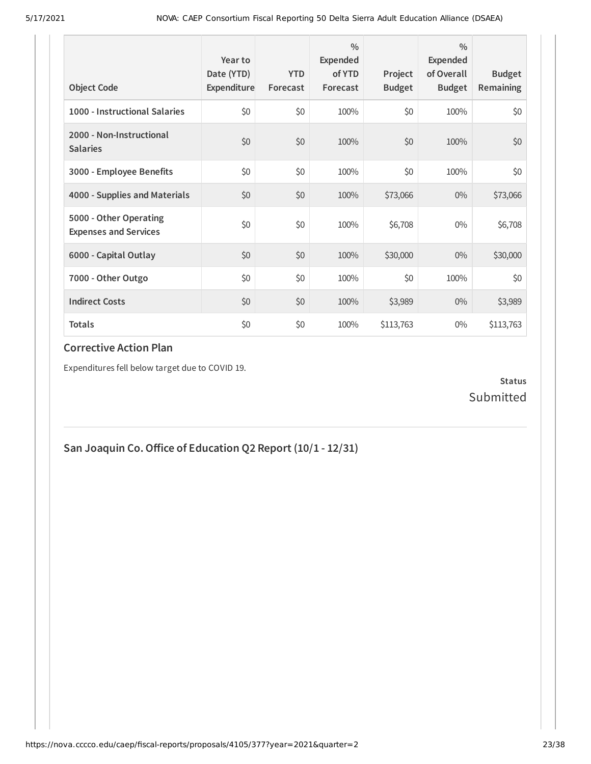| <b>Object Code</b>                                     | Year to<br>Date (YTD)<br>Expenditure | <b>YTD</b><br>Forecast | $\frac{0}{0}$<br>Expended<br>of YTD<br>Forecast | Project<br><b>Budget</b> | $\frac{0}{0}$<br>Expended<br>of Overall<br><b>Budget</b> | <b>Budget</b><br><b>Remaining</b> |
|--------------------------------------------------------|--------------------------------------|------------------------|-------------------------------------------------|--------------------------|----------------------------------------------------------|-----------------------------------|
| 1000 - Instructional Salaries                          | \$0                                  | \$0                    | 100%                                            | \$0                      | 100%                                                     | \$0                               |
| 2000 - Non-Instructional<br><b>Salaries</b>            | \$0                                  | \$0                    | 100%                                            | \$0                      | 100%                                                     | \$0                               |
| 3000 - Employee Benefits                               | \$0                                  | \$0                    | 100%                                            | \$0                      | 100%                                                     | \$0                               |
| 4000 - Supplies and Materials                          | \$0                                  | \$0                    | 100%                                            | \$73,066                 | $0\%$                                                    | \$73,066                          |
| 5000 - Other Operating<br><b>Expenses and Services</b> | \$0                                  | \$0                    | 100%                                            | \$6,708                  | $0\%$                                                    | \$6,708                           |
| 6000 - Capital Outlay                                  | \$0                                  | \$0                    | 100%                                            | \$30,000                 | $0\%$                                                    | \$30,000                          |
| 7000 - Other Outgo                                     | \$0                                  | \$0                    | 100%                                            | \$0                      | 100%                                                     | \$0                               |
| <b>Indirect Costs</b>                                  | \$0                                  | \$0                    | 100%                                            | \$3,989                  | $0\%$                                                    | \$3,989                           |
| <b>Totals</b>                                          | \$0                                  | \$0                    | 100%                                            | \$113,763                | $0\%$                                                    | \$113,763                         |

Expenditures fell below target due to COVID 19.

### **Status** Submitted

**San Joaquin Co.Oice of Education Q2 Report (10/1 - 12/31)**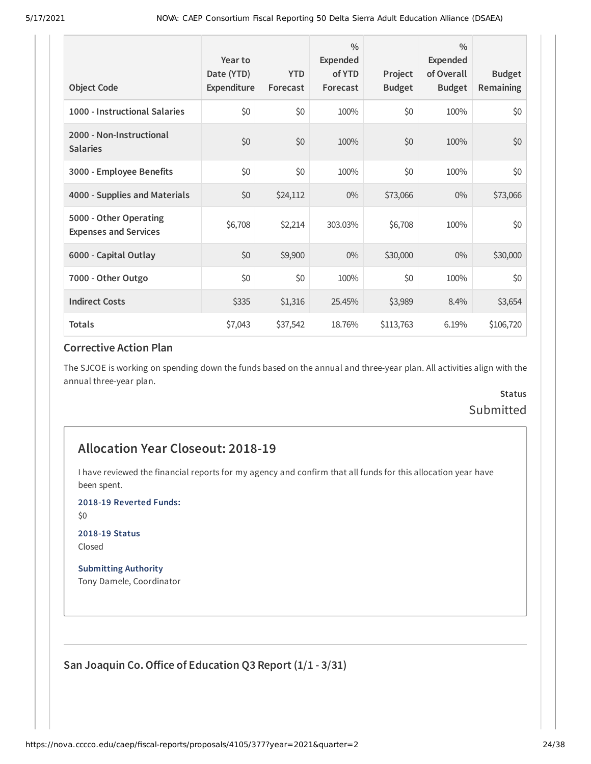| <b>Object Code</b>                                     | Year to<br>Date (YTD)<br>Expenditure | <b>YTD</b><br>Forecast | $\frac{0}{0}$<br>Expended<br>of YTD<br>Forecast | Project<br><b>Budget</b> | $\frac{0}{0}$<br>Expended<br>of Overall<br><b>Budget</b> | <b>Budget</b><br><b>Remaining</b> |
|--------------------------------------------------------|--------------------------------------|------------------------|-------------------------------------------------|--------------------------|----------------------------------------------------------|-----------------------------------|
| 1000 - Instructional Salaries                          | \$0                                  | \$0                    | 100%                                            | \$0                      | 100%                                                     | \$0                               |
| 2000 - Non-Instructional<br><b>Salaries</b>            | \$0                                  | \$0                    | 100%                                            | \$0                      | 100%                                                     | \$0                               |
| 3000 - Employee Benefits                               | \$0                                  | \$0                    | 100%                                            | \$0                      | 100%                                                     | \$0                               |
| 4000 - Supplies and Materials                          | \$0                                  | \$24,112               | $0\%$                                           | \$73,066                 | $0\%$                                                    | \$73,066                          |
| 5000 - Other Operating<br><b>Expenses and Services</b> | \$6,708                              | \$2,214                | 303.03%                                         | \$6,708                  | 100%                                                     | \$0                               |
| 6000 - Capital Outlay                                  | \$0                                  | \$9,900                | $0\%$                                           | \$30,000                 | $0\%$                                                    | \$30,000                          |
| 7000 - Other Outgo                                     | \$0                                  | \$0                    | 100%                                            | \$0                      | 100%                                                     | \$0                               |
| <b>Indirect Costs</b>                                  | \$335                                | \$1,316                | 25.45%                                          | \$3,989                  | 8.4%                                                     | \$3,654                           |
| <b>Totals</b>                                          | \$7,043                              | \$37,542               | 18.76%                                          | \$113,763                | 6.19%                                                    | \$106,720                         |

The SJCOE is working on spending down the funds based on the annual and three-year plan. All activities align with the annual three-year plan.

## **Status** Submitted

### **Allocation Year Closeout: 2018-19**

I have reviewed the financial reports for my agency and confirm that all funds for this allocation year have been spent.

**2018-19 Reverted Funds:**

\$0

**2018-19 Status** Closed

**Submitting Authority** Tony Damele, Coordinator

**San Joaquin Co.Oice of Education Q3 Report (1/1 - 3/31)**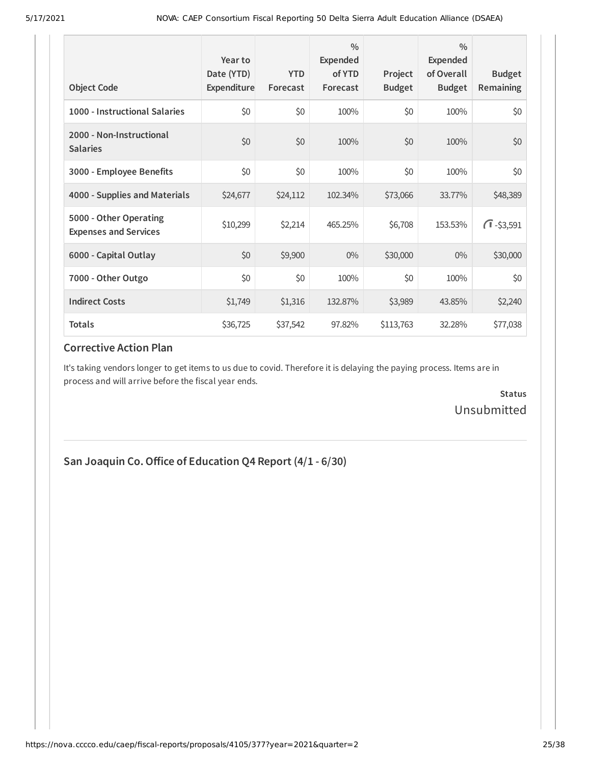| <b>Object Code</b>                                     | Year to<br>Date (YTD)<br>Expenditure | <b>YTD</b><br>Forecast | $\frac{0}{0}$<br>Expended<br>of YTD<br>Forecast | Project<br><b>Budget</b> | $\frac{0}{0}$<br><b>Expended</b><br>of Overall<br><b>Budget</b> | <b>Budget</b><br><b>Remaining</b> |
|--------------------------------------------------------|--------------------------------------|------------------------|-------------------------------------------------|--------------------------|-----------------------------------------------------------------|-----------------------------------|
| 1000 - Instructional Salaries                          | \$0                                  | \$0                    | 100%                                            | \$0                      | 100%                                                            | \$0                               |
| 2000 - Non-Instructional<br><b>Salaries</b>            | \$0                                  | \$0                    | 100%                                            | \$0                      | 100%                                                            | \$0                               |
| 3000 - Employee Benefits                               | \$0                                  | \$0                    | 100%                                            | \$0                      | 100%                                                            | \$0                               |
| 4000 - Supplies and Materials                          | \$24,677                             | \$24,112               | 102.34%                                         | \$73,066                 | 33.77%                                                          | \$48,389                          |
| 5000 - Other Operating<br><b>Expenses and Services</b> | \$10,299                             | \$2,214                | 465.25%                                         | \$6,708                  | 153.53%                                                         | $\sqrt{1} - $3,591$               |
| 6000 - Capital Outlay                                  | \$0                                  | \$9,900                | $0\%$                                           | \$30,000                 | $0\%$                                                           | \$30,000                          |
| 7000 - Other Outgo                                     | \$0                                  | \$0                    | 100%                                            | \$0                      | 100%                                                            | \$0                               |
| <b>Indirect Costs</b>                                  | \$1,749                              | \$1,316                | 132.87%                                         | \$3,989                  | 43.85%                                                          | \$2,240                           |
| <b>Totals</b>                                          | \$36,725                             | \$37,542               | 97.82%                                          | \$113,763                | 32.28%                                                          | \$77,038                          |

It's taking vendors longer to get items to us due to covid. Therefore it is delaying the paying process. Items are in process and will arrive before the fiscal year ends.

> **Status** Unsubmitted

## **San Joaquin Co.Oice of Education Q4 Report (4/1 - 6/30)**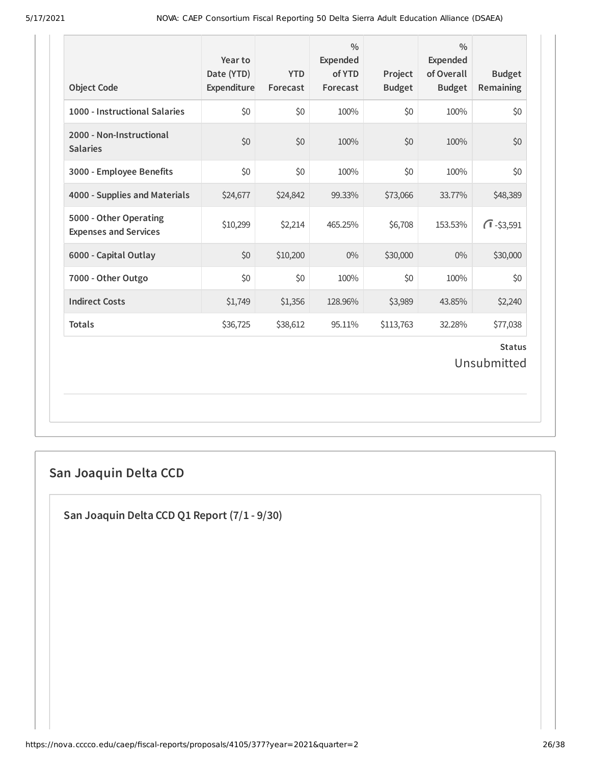| <b>Object Code</b>                                     | Year to<br>Date (YTD)<br>Expenditure | <b>YTD</b><br>Forecast | $\frac{0}{0}$<br><b>Expended</b><br>of YTD<br>Forecast | Project<br><b>Budget</b> | $\frac{0}{0}$<br><b>Expended</b><br>of Overall<br><b>Budget</b> | <b>Budget</b><br>Remaining |  |
|--------------------------------------------------------|--------------------------------------|------------------------|--------------------------------------------------------|--------------------------|-----------------------------------------------------------------|----------------------------|--|
| 1000 - Instructional Salaries                          | \$0                                  | \$0                    | 100%                                                   | \$0                      | 100%                                                            | \$0                        |  |
| 2000 - Non-Instructional<br><b>Salaries</b>            | \$0                                  | \$0                    | 100%                                                   | \$0                      | 100%                                                            | \$0                        |  |
| 3000 - Employee Benefits                               | \$0                                  | \$0                    | 100%                                                   | \$0                      | 100%                                                            | \$0                        |  |
| 4000 - Supplies and Materials                          | \$24,677                             | \$24,842               | 99.33%                                                 | \$73,066                 | 33.77%                                                          | \$48,389                   |  |
| 5000 - Other Operating<br><b>Expenses and Services</b> | \$10,299                             | \$2,214                | 465.25%                                                | \$6,708                  | 153.53%                                                         | $\sqrt{1} - $3,591$        |  |
| 6000 - Capital Outlay                                  | \$0                                  | \$10,200               | $0\%$                                                  | \$30,000                 | 0%                                                              | \$30,000                   |  |
| 7000 - Other Outgo                                     | \$0                                  | \$0                    | 100%                                                   | \$0                      | 100%                                                            | \$0                        |  |
| <b>Indirect Costs</b>                                  | \$1,749                              | \$1,356                | 128.96%                                                | \$3,989                  | 43.85%                                                          | \$2,240                    |  |
| <b>Totals</b>                                          | \$36,725                             | \$38,612               | 95.11%                                                 | \$113,763                | 32.28%                                                          | \$77,038                   |  |
| <b>Status</b><br>Unsubmitted                           |                                      |                        |                                                        |                          |                                                                 |                            |  |

## **San Joaquin Delta CCD**

**San Joaquin Delta CCD Q1 Report (7/1 - 9/30)**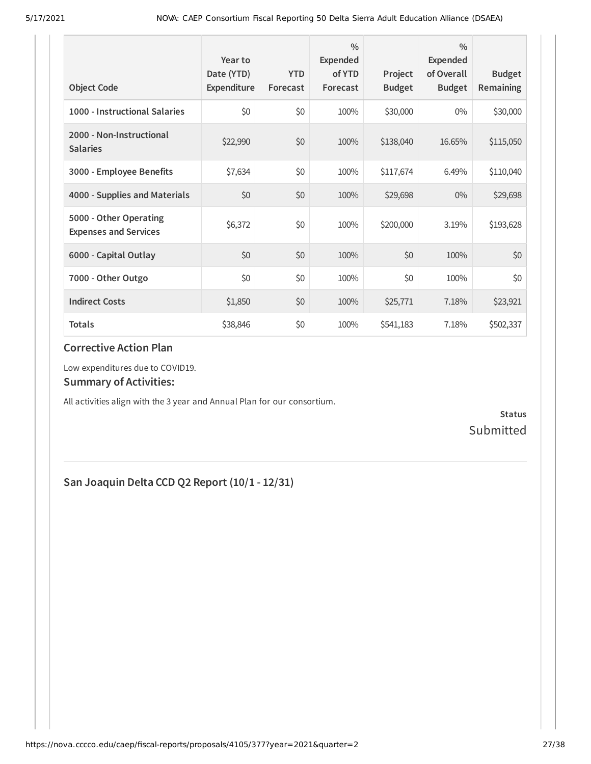| <b>Object Code</b>                                     | Year to<br>Date (YTD)<br>Expenditure | <b>YTD</b><br>Forecast | $\frac{0}{0}$<br>Expended<br>of YTD<br>Forecast | Project<br><b>Budget</b> | $\frac{0}{0}$<br>Expended<br>of Overall<br><b>Budget</b> | <b>Budget</b><br><b>Remaining</b> |
|--------------------------------------------------------|--------------------------------------|------------------------|-------------------------------------------------|--------------------------|----------------------------------------------------------|-----------------------------------|
| 1000 - Instructional Salaries                          | \$0                                  | \$0                    | 100%                                            | \$30,000                 | $0\%$                                                    | \$30,000                          |
| 2000 - Non-Instructional<br><b>Salaries</b>            | \$22,990                             | \$0                    | 100%                                            | \$138,040                | 16.65%                                                   | \$115,050                         |
| 3000 - Employee Benefits                               | \$7,634                              | \$0                    | 100%                                            | \$117,674                | 6.49%                                                    | \$110,040                         |
| 4000 - Supplies and Materials                          | \$0                                  | \$0                    | 100%                                            | \$29,698                 | $0\%$                                                    | \$29,698                          |
| 5000 - Other Operating<br><b>Expenses and Services</b> | \$6,372                              | \$0                    | 100%                                            | \$200,000                | 3.19%                                                    | \$193,628                         |
| 6000 - Capital Outlay                                  | \$0                                  | \$0                    | 100%                                            | \$0                      | 100%                                                     | \$0                               |
| 7000 - Other Outgo                                     | \$0                                  | \$0                    | 100%                                            | \$0                      | 100%                                                     | \$0                               |
| <b>Indirect Costs</b>                                  | \$1,850                              | \$0                    | 100%                                            | \$25,771                 | 7.18%                                                    | \$23,921                          |
| <b>Totals</b>                                          | \$38,846                             | \$0                    | 100%                                            | \$541,183                | 7.18%                                                    | \$502,337                         |

Low expenditures due to COVID19.

#### **Summary of Activities:**

All activities align with the 3 year and Annual Plan for our consortium.

**Status** Submitted

## **San Joaquin Delta CCD Q2 Report (10/1 - 12/31)**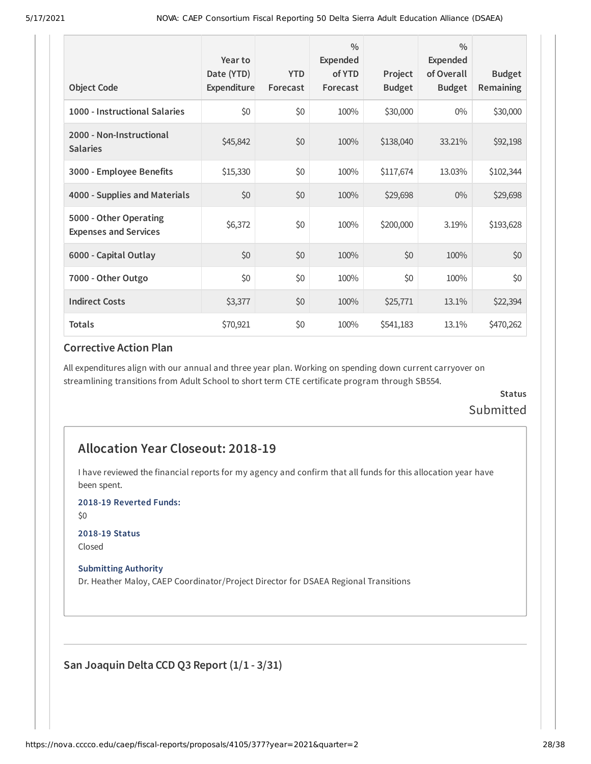| <b>Object Code</b>                                     | Year to<br>Date (YTD)<br>Expenditure | <b>YTD</b><br>Forecast | $\frac{0}{0}$<br>Expended<br>of YTD<br>Forecast | Project<br><b>Budget</b> | $\frac{0}{0}$<br><b>Expended</b><br>of Overall<br><b>Budget</b> | <b>Budget</b><br><b>Remaining</b> |
|--------------------------------------------------------|--------------------------------------|------------------------|-------------------------------------------------|--------------------------|-----------------------------------------------------------------|-----------------------------------|
| 1000 - Instructional Salaries                          | \$0                                  | \$0                    | 100%                                            | \$30,000                 | $0\%$                                                           | \$30,000                          |
| 2000 - Non-Instructional<br><b>Salaries</b>            | \$45,842                             | \$0                    | 100%                                            | \$138,040                | 33.21%                                                          | \$92,198                          |
| 3000 - Employee Benefits                               | \$15,330                             | \$0                    | 100%                                            | \$117,674                | 13.03%                                                          | \$102,344                         |
| 4000 - Supplies and Materials                          | \$0                                  | \$0                    | 100%                                            | \$29,698                 | $0\%$                                                           | \$29,698                          |
| 5000 - Other Operating<br><b>Expenses and Services</b> | \$6,372                              | \$0                    | 100%                                            | \$200,000                | 3.19%                                                           | \$193,628                         |
| 6000 - Capital Outlay                                  | \$0                                  | \$0                    | 100%                                            | \$0                      | 100%                                                            | \$0                               |
| 7000 - Other Outgo                                     | \$0                                  | \$0                    | 100%                                            | \$0                      | 100%                                                            | \$0                               |
| <b>Indirect Costs</b>                                  | \$3,377                              | \$0                    | 100%                                            | \$25,771                 | 13.1%                                                           | \$22,394                          |
| <b>Totals</b>                                          | \$70,921                             | \$0                    | 100%                                            | \$541,183                | 13.1%                                                           | \$470,262                         |

All expenditures align with our annual and three year plan. Working on spending down current carryover on streamlining transitions from Adult School to short term CTE certificate program through SB554.

### **Status** Submitted

### **Allocation Year Closeout: 2018-19**

I have reviewed the financial reports for my agency and confirm that all funds for this allocation year have been spent.

**2018-19 Reverted Funds:**

\$0

#### **2018-19 Status**

Closed

#### **Submitting Authority**

Dr. Heather Maloy, CAEP Coordinator/Project Director for DSAEA Regional Transitions

**San Joaquin Delta CCD Q3 Report (1/1 - 3/31)**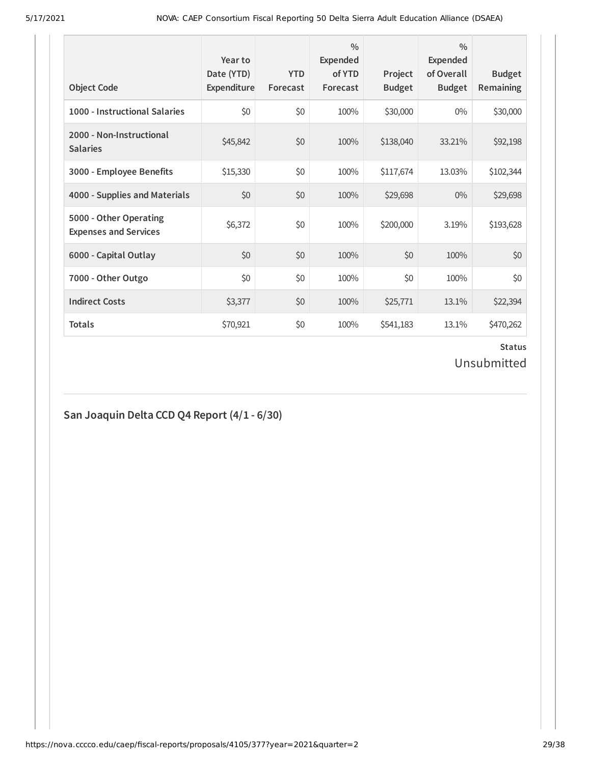| <b>Object Code</b>                                     | Year to<br>Date (YTD)<br>Expenditure | <b>YTD</b><br>Forecast | $\frac{0}{0}$<br>Expended<br>of YTD<br>Forecast | Project<br><b>Budget</b> | $\frac{0}{0}$<br><b>Expended</b><br>of Overall<br><b>Budget</b> | <b>Budget</b><br><b>Remaining</b> |
|--------------------------------------------------------|--------------------------------------|------------------------|-------------------------------------------------|--------------------------|-----------------------------------------------------------------|-----------------------------------|
| 1000 - Instructional Salaries                          | \$0                                  | \$0                    | 100%                                            | \$30,000                 | $0\%$                                                           | \$30,000                          |
| 2000 - Non-Instructional<br><b>Salaries</b>            | \$45,842                             | \$0                    | 100%                                            | \$138,040                | 33.21%                                                          | \$92,198                          |
| 3000 - Employee Benefits                               | \$15,330                             | \$0                    | 100%                                            | \$117,674                | 13.03%                                                          | \$102,344                         |
| 4000 - Supplies and Materials                          | \$0                                  | \$0                    | 100%                                            | \$29,698                 | $0\%$                                                           | \$29,698                          |
| 5000 - Other Operating<br><b>Expenses and Services</b> | \$6,372                              | \$0                    | 100%                                            | \$200,000                | 3.19%                                                           | \$193,628                         |
| 6000 - Capital Outlay                                  | \$0                                  | \$0                    | 100%                                            | \$0                      | 100%                                                            | \$0                               |
| 7000 - Other Outgo                                     | \$0                                  | \$0                    | 100%                                            | \$0                      | 100%                                                            | \$0                               |
| <b>Indirect Costs</b>                                  | \$3,377                              | \$0                    | 100%                                            | \$25,771                 | 13.1%                                                           | \$22,394                          |
| <b>Totals</b>                                          | \$70,921                             | \$0                    | 100%                                            | \$541,183                | 13.1%                                                           | \$470,262                         |

# **Status**

Unsubmitted

## **San Joaquin Delta CCD Q4 Report (4/1 - 6/30)**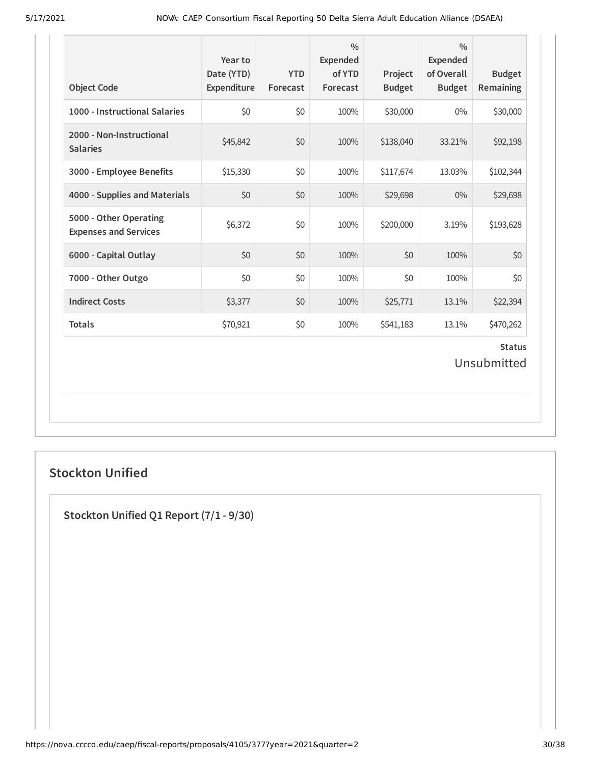| <b>Object Code</b>                                     | Year to<br>Date (YTD)<br>Expenditure | <b>YTD</b><br>Forecast | $\frac{0}{0}$<br><b>Expended</b><br>of YTD<br>Forecast | Project<br><b>Budget</b> | $\frac{0}{0}$<br><b>Expended</b><br>of Overall<br><b>Budget</b> | <b>Budget</b><br>Remaining |  |
|--------------------------------------------------------|--------------------------------------|------------------------|--------------------------------------------------------|--------------------------|-----------------------------------------------------------------|----------------------------|--|
| 1000 - Instructional Salaries                          | \$0                                  | \$0                    | 100%                                                   | \$30,000                 | $0\%$                                                           | \$30,000                   |  |
| 2000 - Non-Instructional<br><b>Salaries</b>            | \$45,842                             | \$0                    | 100%                                                   | \$138,040                | 33.21%                                                          | \$92,198                   |  |
| 3000 - Employee Benefits                               | \$15,330                             | \$0                    | 100%                                                   | \$117,674                | 13.03%                                                          | \$102,344                  |  |
| 4000 - Supplies and Materials                          | \$0                                  | \$0                    | 100%                                                   | \$29,698                 | $0\%$                                                           | \$29,698                   |  |
| 5000 - Other Operating<br><b>Expenses and Services</b> | \$6,372                              | \$0                    | 100%                                                   | \$200,000                | 3.19%                                                           | \$193,628                  |  |
| 6000 - Capital Outlay                                  | \$0                                  | \$0                    | 100%                                                   | \$0                      | 100%                                                            | \$0                        |  |
| 7000 - Other Outgo                                     | \$0                                  | \$0                    | 100%                                                   | \$0                      | 100%                                                            | \$0                        |  |
| <b>Indirect Costs</b>                                  | \$3,377                              | \$0                    | 100%                                                   | \$25,771                 | 13.1%                                                           | \$22,394                   |  |
| <b>Totals</b>                                          | \$70,921                             | \$0                    | 100%                                                   | \$541,183                | 13.1%                                                           | \$470,262                  |  |
| <b>Status</b><br>Unsubmitted                           |                                      |                        |                                                        |                          |                                                                 |                            |  |

## **Stockton Unified**

**Stockton Unified Q1 Report (7/1 - 9/30)**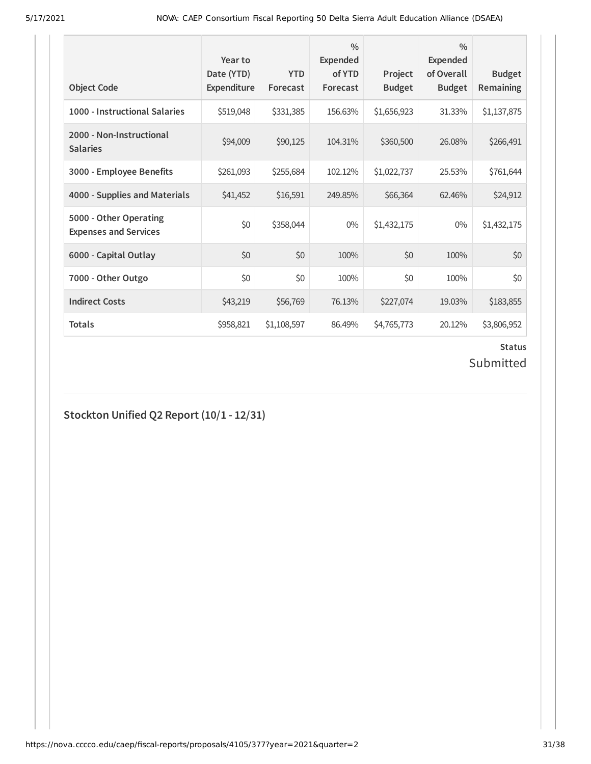| <b>Object Code</b>                                     | Year to<br>Date (YTD)<br>Expenditure | <b>YTD</b><br>Forecast | $\frac{0}{0}$<br>Expended<br>of YTD<br>Forecast | Project<br><b>Budget</b> | $\frac{0}{0}$<br><b>Expended</b><br>of Overall<br><b>Budget</b> | <b>Budget</b><br><b>Remaining</b> |
|--------------------------------------------------------|--------------------------------------|------------------------|-------------------------------------------------|--------------------------|-----------------------------------------------------------------|-----------------------------------|
| 1000 - Instructional Salaries                          | \$519,048                            | \$331,385              | 156.63%                                         | \$1,656,923              | 31.33%                                                          | \$1,137,875                       |
| 2000 - Non-Instructional<br><b>Salaries</b>            | \$94,009                             | \$90,125               | 104.31%                                         | \$360,500                | 26.08%                                                          | \$266,491                         |
| 3000 - Employee Benefits                               | \$261,093                            | \$255,684              | 102.12%                                         | \$1,022,737              | 25.53%                                                          | \$761,644                         |
| 4000 - Supplies and Materials                          | \$41,452                             | \$16,591               | 249.85%                                         | \$66,364                 | 62.46%                                                          | \$24,912                          |
| 5000 - Other Operating<br><b>Expenses and Services</b> | \$0                                  | \$358,044              | $0\%$                                           | \$1,432,175              | $0\%$                                                           | \$1,432,175                       |
| 6000 - Capital Outlay                                  | \$0                                  | \$0                    | 100%                                            | \$0                      | 100%                                                            | \$0                               |
| 7000 - Other Outgo                                     | \$0                                  | \$0                    | 100%                                            | \$0                      | 100%                                                            | \$0                               |
| <b>Indirect Costs</b>                                  | \$43,219                             | \$56,769               | 76.13%                                          | \$227,074                | 19.03%                                                          | \$183,855                         |
| <b>Totals</b>                                          | \$958,821                            | \$1,108,597            | 86.49%                                          | \$4,765,773              | 20.12%                                                          | \$3,806,952                       |

# **Status**

## Submitted

**Stockton Unified Q2 Report (10/1 - 12/31)**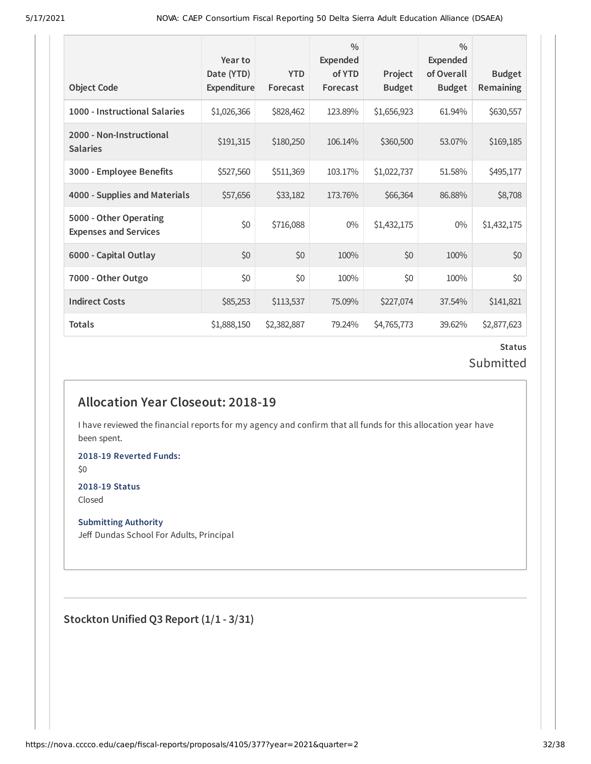| <b>Object Code</b>                                     | Year to<br>Date (YTD)<br>Expenditure | <b>YTD</b><br>Forecast | $\frac{0}{0}$<br>Expended<br>of YTD<br>Forecast | Project<br><b>Budget</b> | $\frac{0}{0}$<br>Expended<br>of Overall<br><b>Budget</b> | <b>Budget</b><br><b>Remaining</b> |
|--------------------------------------------------------|--------------------------------------|------------------------|-------------------------------------------------|--------------------------|----------------------------------------------------------|-----------------------------------|
| 1000 - Instructional Salaries                          | \$1,026,366                          | \$828,462              | 123.89%                                         | \$1,656,923              | 61.94%                                                   | \$630,557                         |
| 2000 - Non-Instructional<br><b>Salaries</b>            | \$191,315                            | \$180,250              | 106.14%                                         | \$360,500                | 53.07%                                                   | \$169,185                         |
| 3000 - Employee Benefits                               | \$527,560                            | \$511,369              | 103.17%                                         | \$1,022,737              | 51.58%                                                   | \$495,177                         |
| 4000 - Supplies and Materials                          | \$57,656                             | \$33,182               | 173.76%                                         | \$66,364                 | 86.88%                                                   | \$8,708                           |
| 5000 - Other Operating<br><b>Expenses and Services</b> | \$0                                  | \$716,088              | $0\%$                                           | \$1,432,175              | 0%                                                       | \$1,432,175                       |
| 6000 - Capital Outlay                                  | \$0                                  | \$0                    | 100%                                            | \$0                      | 100%                                                     | \$0                               |
| 7000 - Other Outgo                                     | \$0                                  | \$0                    | 100%                                            | \$0                      | 100%                                                     | \$0                               |
| <b>Indirect Costs</b>                                  | \$85,253                             | \$113,537              | 75.09%                                          | \$227,074                | 37.54%                                                   | \$141,821                         |
| <b>Totals</b>                                          | \$1,888,150                          | \$2,382,887            | 79.24%                                          | \$4,765,773              | 39.62%                                                   | \$2,877,623                       |

### **Status** Submitted

## **Allocation Year Closeout: 2018-19**

I have reviewed the financial reports for my agency and confirm that all funds for this allocation year have been spent.

**2018-19 Reverted Funds:**

\$0

## **2018-19 Status**

Closed

#### **Submitting Authority**

Jeff Dundas School For Adults, Principal

**Stockton Unified Q3 Report (1/1 - 3/31)**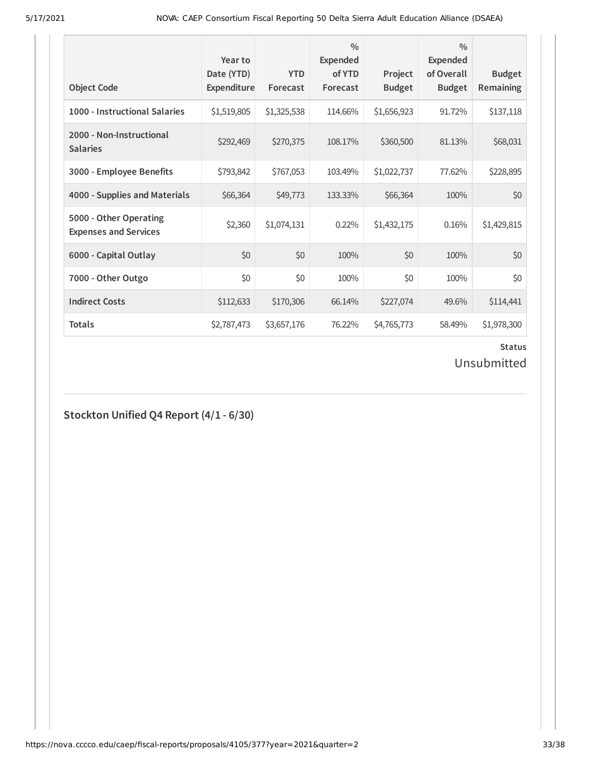| <b>Object Code</b>                                     | Year to<br>Date (YTD)<br>Expenditure | <b>YTD</b><br>Forecast | $\frac{0}{0}$<br>Expended<br>of YTD<br>Forecast | Project<br><b>Budget</b> | $\frac{0}{0}$<br>Expended<br>of Overall<br><b>Budget</b> | <b>Budget</b><br>Remaining |
|--------------------------------------------------------|--------------------------------------|------------------------|-------------------------------------------------|--------------------------|----------------------------------------------------------|----------------------------|
| 1000 - Instructional Salaries                          | \$1,519,805                          | \$1,325,538            | 114.66%                                         | \$1,656,923              | 91.72%                                                   | \$137,118                  |
| 2000 - Non-Instructional<br><b>Salaries</b>            | \$292,469                            | \$270,375              | 108.17%                                         | \$360,500                | 81.13%                                                   | \$68,031                   |
| 3000 - Employee Benefits                               | \$793,842                            | \$767,053              | 103.49%                                         | \$1,022,737              | 77.62%                                                   | \$228,895                  |
| 4000 - Supplies and Materials                          | \$66,364                             | \$49,773               | 133.33%                                         | \$66,364                 | 100%                                                     | \$0                        |
| 5000 - Other Operating<br><b>Expenses and Services</b> | \$2,360                              | \$1,074,131            | 0.22%                                           | \$1,432,175              | 0.16%                                                    | \$1,429,815                |
| 6000 - Capital Outlay                                  | \$0                                  | \$0                    | 100%                                            | \$0                      | 100%                                                     | \$0                        |
| 7000 - Other Outgo                                     | \$0                                  | \$0                    | 100%                                            | \$0                      | 100%                                                     | \$0                        |
| <b>Indirect Costs</b>                                  | \$112,633                            | \$170,306              | 66.14%                                          | \$227,074                | 49.6%                                                    | \$114,441                  |
| <b>Totals</b>                                          | \$2,787,473                          | \$3,657,176            | 76.22%                                          | \$4,765,773              | 58.49%                                                   | \$1,978,300                |

#### **Status**

Unsubmitted

## **Stockton Unified Q4 Report (4/1 - 6/30)**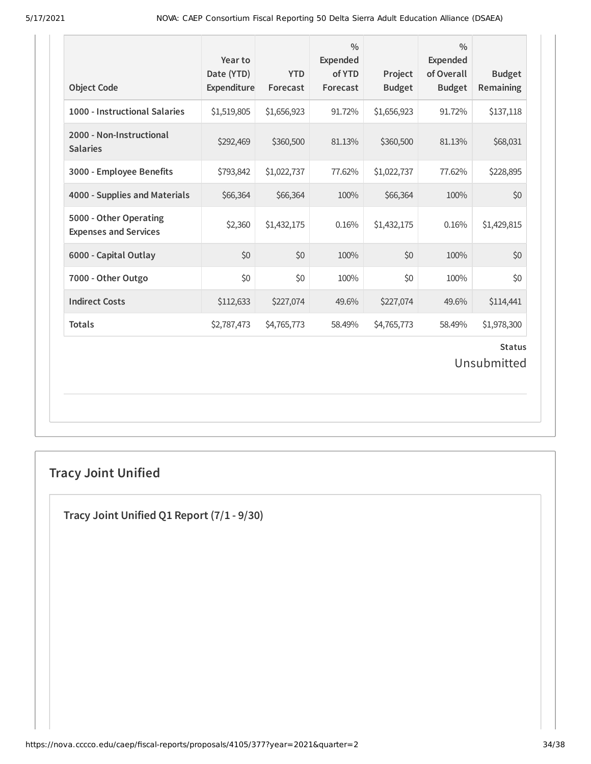| <b>Object Code</b>                                     | Year to<br>Date (YTD)<br>Expenditure | <b>YTD</b><br>Forecast | $\frac{0}{0}$<br><b>Expended</b><br>of YTD<br>Forecast | Project<br><b>Budget</b> | $\frac{0}{0}$<br><b>Expended</b><br>of Overall<br><b>Budget</b> | <b>Budget</b><br>Remaining   |
|--------------------------------------------------------|--------------------------------------|------------------------|--------------------------------------------------------|--------------------------|-----------------------------------------------------------------|------------------------------|
| 1000 - Instructional Salaries                          | \$1,519,805                          | \$1,656,923            | 91.72%                                                 | \$1,656,923              | 91.72%                                                          | \$137,118                    |
| 2000 - Non-Instructional<br><b>Salaries</b>            | \$292,469                            | \$360,500              | 81.13%                                                 | \$360,500                | 81.13%                                                          | \$68,031                     |
| 3000 - Employee Benefits                               | \$793,842                            | \$1,022,737            | 77.62%                                                 | \$1,022,737              | 77.62%                                                          | \$228,895                    |
| 4000 - Supplies and Materials                          | \$66,364                             | \$66,364               | 100%                                                   | \$66,364                 | 100%                                                            | \$0                          |
| 5000 - Other Operating<br><b>Expenses and Services</b> | \$2,360                              | \$1,432,175            | 0.16%                                                  | \$1,432,175              | 0.16%                                                           | \$1,429,815                  |
| 6000 - Capital Outlay                                  | \$0                                  | \$0                    | 100%                                                   | \$0                      | 100%                                                            | \$0                          |
| 7000 - Other Outgo                                     | \$0                                  | \$0                    | 100%                                                   | \$0                      | 100%                                                            | \$0                          |
| <b>Indirect Costs</b>                                  | \$112,633                            | \$227,074              | 49.6%                                                  | \$227,074                | 49.6%                                                           | \$114,441                    |
| <b>Totals</b>                                          | \$2,787,473                          | \$4,765,773            | 58.49%                                                 | \$4,765,773              | 58.49%                                                          | \$1,978,300                  |
|                                                        |                                      |                        |                                                        |                          |                                                                 | <b>Status</b><br>Unsubmitted |

## **Tracy Joint Unified**

**Tracy Joint Unified Q1 Report (7/1 - 9/30)**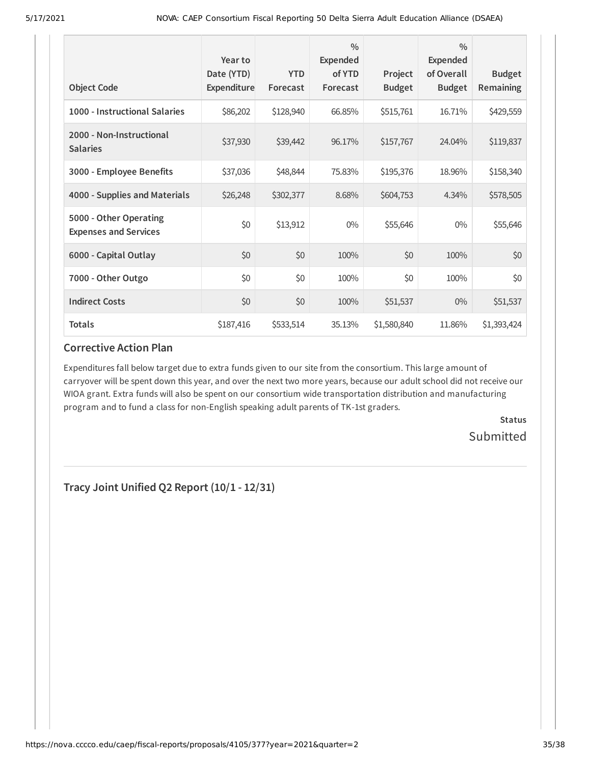| <b>Object Code</b>                                     | Year to<br>Date (YTD)<br>Expenditure | <b>YTD</b><br>Forecast | $\frac{0}{0}$<br><b>Expended</b><br>of YTD<br>Forecast | Project<br><b>Budget</b> | $\frac{0}{0}$<br>Expended<br>of Overall<br><b>Budget</b> | <b>Budget</b><br>Remaining |
|--------------------------------------------------------|--------------------------------------|------------------------|--------------------------------------------------------|--------------------------|----------------------------------------------------------|----------------------------|
| 1000 - Instructional Salaries                          | \$86,202                             | \$128,940              | 66.85%                                                 | \$515,761                | 16.71%                                                   | \$429,559                  |
| 2000 - Non-Instructional<br><b>Salaries</b>            | \$37,930                             | \$39,442               | 96.17%                                                 | \$157,767                | 24.04%                                                   | \$119,837                  |
| 3000 - Employee Benefits                               | \$37,036                             | \$48,844               | 75.83%                                                 | \$195,376                | 18.96%                                                   | \$158,340                  |
| 4000 - Supplies and Materials                          | \$26,248                             | \$302,377              | 8.68%                                                  | \$604,753                | 4.34%                                                    | \$578,505                  |
| 5000 - Other Operating<br><b>Expenses and Services</b> | \$0                                  | \$13,912               | $0\%$                                                  | \$55,646                 | $0\%$                                                    | \$55,646                   |
| 6000 - Capital Outlay                                  | \$0                                  | \$0                    | 100%                                                   | \$0                      | 100%                                                     | \$0                        |
| 7000 - Other Outgo                                     | \$0                                  | \$0                    | 100%                                                   | \$0                      | 100%                                                     | \$0                        |
| <b>Indirect Costs</b>                                  | \$0                                  | \$0                    | 100%                                                   | \$51,537                 | $0\%$                                                    | \$51,537                   |
| <b>Totals</b>                                          | \$187,416                            | \$533,514              | 35.13%                                                 | \$1,580,840              | 11.86%                                                   | \$1,393,424                |

Expenditures fall below target due to extra funds given to our site from the consortium. This large amount of carryover will be spent down this year, and over the next two more years, because our adult school did not receive our WIOA grant. Extra funds will also be spent on our consortium wide transportation distribution and manufacturing program and to fund a class for non-English speaking adult parents of TK-1st graders.

> **Status Submitted**

**Tracy Joint Unified Q2 Report (10/1 - 12/31)**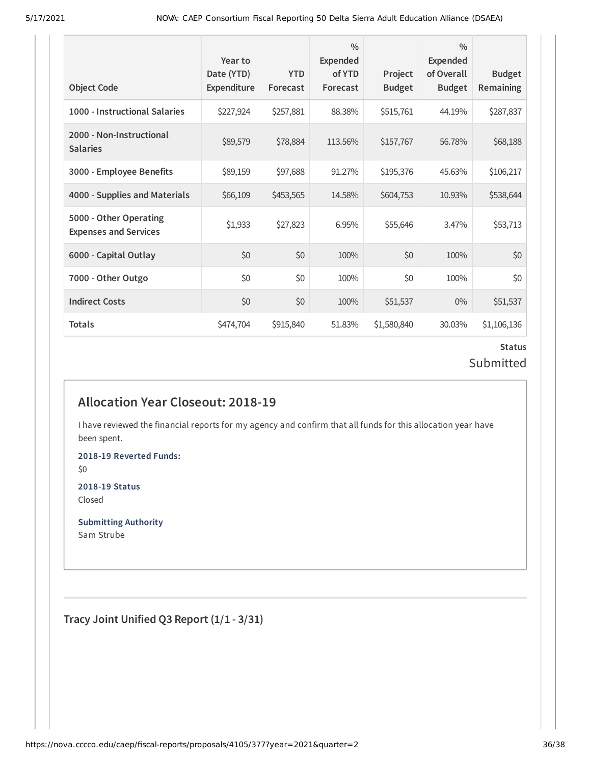| <b>Object Code</b>                                     | Year to<br>Date (YTD)<br>Expenditure | <b>YTD</b><br>Forecast | $\frac{0}{0}$<br>Expended<br>of YTD<br>Forecast | Project<br><b>Budget</b> | $\frac{0}{0}$<br>Expended<br>of Overall<br><b>Budget</b> | <b>Budget</b><br><b>Remaining</b> |
|--------------------------------------------------------|--------------------------------------|------------------------|-------------------------------------------------|--------------------------|----------------------------------------------------------|-----------------------------------|
| 1000 - Instructional Salaries                          | \$227,924                            | \$257,881              | 88.38%                                          | \$515,761                | 44.19%                                                   | \$287,837                         |
| 2000 - Non-Instructional<br><b>Salaries</b>            | \$89,579                             | \$78,884               | 113.56%                                         | \$157,767                | 56.78%                                                   | \$68,188                          |
| 3000 - Employee Benefits                               | \$89,159                             | \$97,688               | 91.27%                                          | \$195,376                | 45.63%                                                   | \$106,217                         |
| 4000 - Supplies and Materials                          | \$66,109                             | \$453,565              | 14.58%                                          | \$604,753                | 10.93%                                                   | \$538,644                         |
| 5000 - Other Operating<br><b>Expenses and Services</b> | \$1,933                              | \$27,823               | 6.95%                                           | \$55,646                 | 3.47%                                                    | \$53,713                          |
| 6000 - Capital Outlay                                  | \$0                                  | \$0                    | 100%                                            | \$0                      | 100%                                                     | \$0                               |
| 7000 - Other Outgo                                     | \$0                                  | \$0                    | 100%                                            | \$0                      | 100%                                                     | \$0                               |
| <b>Indirect Costs</b>                                  | \$0                                  | \$0                    | 100%                                            | \$51,537                 | $0\%$                                                    | \$51,537                          |
| <b>Totals</b>                                          | \$474,704                            | \$915,840              | 51.83%                                          | \$1,580,840              | 30.03%                                                   | \$1,106,136                       |

### **Status** Submitted

## **Allocation Year Closeout: 2018-19**

I have reviewed the financial reports for my agency and confirm that all funds for this allocation year have been spent.

**2018-19 Reverted Funds:** \$0

**2018-19 Status** Closed

**Submitting Authority** Sam Strube

**Tracy Joint Unified Q3 Report (1/1 - 3/31)**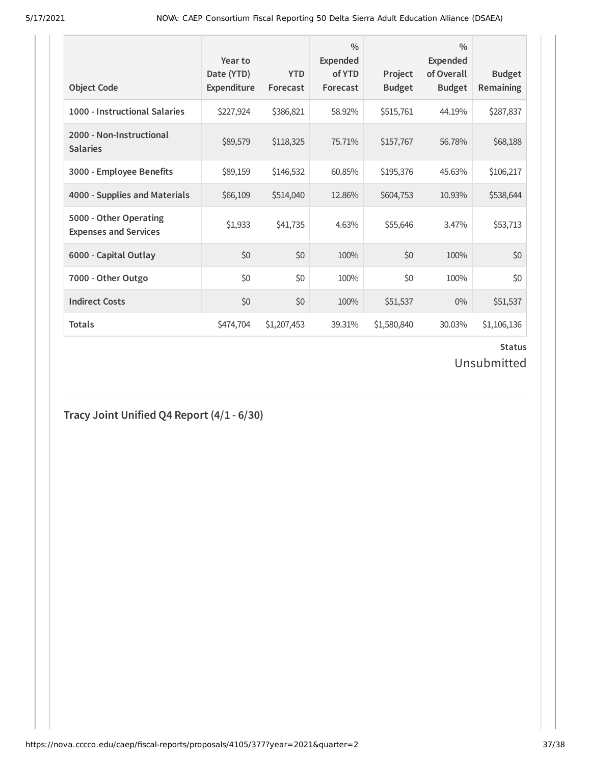| <b>Object Code</b>                                     | Year to<br>Date (YTD)<br>Expenditure | <b>YTD</b><br>Forecast | $\frac{0}{0}$<br>Expended<br>of YTD<br>Forecast | Project<br><b>Budget</b> | $\frac{0}{0}$<br>Expended<br>of Overall<br><b>Budget</b> | <b>Budget</b><br><b>Remaining</b> |
|--------------------------------------------------------|--------------------------------------|------------------------|-------------------------------------------------|--------------------------|----------------------------------------------------------|-----------------------------------|
| 1000 - Instructional Salaries                          | \$227,924                            | \$386,821              | 58.92%                                          | \$515,761                | 44.19%                                                   | \$287,837                         |
| 2000 - Non-Instructional<br><b>Salaries</b>            | \$89,579                             | \$118,325              | 75.71%                                          | \$157,767                | 56.78%                                                   | \$68,188                          |
| 3000 - Employee Benefits                               | \$89,159                             | \$146,532              | 60.85%                                          | \$195,376                | 45.63%                                                   | \$106,217                         |
| 4000 - Supplies and Materials                          | \$66,109                             | \$514,040              | 12.86%                                          | \$604,753                | 10.93%                                                   | \$538,644                         |
| 5000 - Other Operating<br><b>Expenses and Services</b> | \$1,933                              | \$41,735               | 4.63%                                           | \$55,646                 | 3.47%                                                    | \$53,713                          |
| 6000 - Capital Outlay                                  | \$0                                  | \$0                    | 100%                                            | \$0                      | 100%                                                     | \$0                               |
| 7000 - Other Outgo                                     | \$0                                  | \$0                    | 100%                                            | \$0                      | 100%                                                     | \$0                               |
| <b>Indirect Costs</b>                                  | \$0                                  | \$0                    | 100%                                            | \$51,537                 | $0\%$                                                    | \$51,537                          |
| <b>Totals</b>                                          | \$474,704                            | \$1,207,453            | 39.31%                                          | \$1,580,840              | 30.03%                                                   | \$1,106,136                       |

#### **Status**

Unsubmitted

## **Tracy Joint Unified Q4 Report (4/1 - 6/30)**